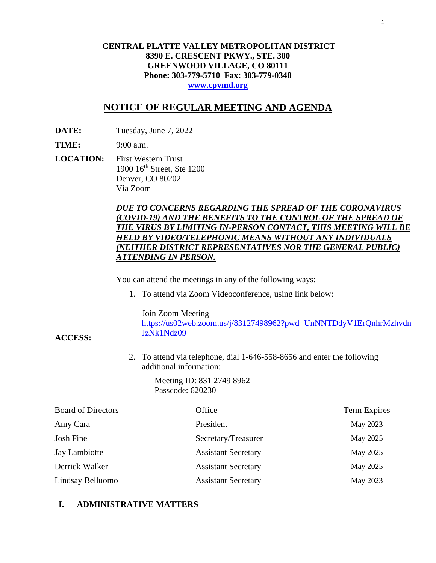# **CENTRAL PLATTE VALLEY METROPOLITAN DISTRICT 8390 E. CRESCENT PKWY., STE. 300 GREENWOOD VILLAGE, CO 80111 Phone: 303-779-5710 Fax: 303-779-0348 [www.cpvmd.org](http://www.cpvmd.org/)**

# **NOTICE OF REGULAR MEETING AND AGENDA**

**DATE:** Tuesday, June 7, 2022

**TIME:** 9:00 a.m.

**ACCESS:**

**LOCATION:** First Western Trust 1900 16th Street, Ste 1200 Denver, CO 80202 Via Zoom

# *DUE TO CONCERNS REGARDING THE SPREAD OF THE CORONAVIRUS (COVID-19) AND THE BENEFITS TO THE CONTROL OF THE SPREAD OF THE VIRUS BY LIMITING IN-PERSON CONTACT, THIS MEETING WILL BE HELD BY VIDEO/TELEPHONIC MEANS WITHOUT ANY INDIVIDUALS (NEITHER DISTRICT REPRESENTATIVES NOR THE GENERAL PUBLIC) ATTENDING IN PERSON.*

You can attend the meetings in any of the following ways:

1. To attend via Zoom Videoconference, using link below:

Join Zoom Meeting

[https://us02web.zoom.us/j/83127498962?pwd=UnNNTDdyV1ErQnhrMzhvdn](https://nam11.safelinks.protection.outlook.com/?url=https%3A%2F%2Fus02web.zoom.us%2Fj%2F83127498962%3Fpwd%3DUnNNTDdyV1ErQnhrMzhvdnJzNk1Ndz09&data=04%7C01%7CRachel.alles%40claconnect.com%7C515b8a3a5bb149f0483608d9bfe9225c%7C4aaa468e93ba4ee3ab9f6a247aa3ade0%7C0%7C0%7C637751830440162010%7CUnknown%7CTWFpbGZsb3d8eyJWIjoiMC4wLjAwMDAiLCJQIjoiV2luMzIiLCJBTiI6Ik1haWwiLCJXVCI6Mn0%3D%7C1000&sdata=52L7UuwlopVA0rXq4v79MPjtXkMJTQPWRs1BvoYRINs%3D&reserved=0) [JzNk1Ndz09](https://nam11.safelinks.protection.outlook.com/?url=https%3A%2F%2Fus02web.zoom.us%2Fj%2F83127498962%3Fpwd%3DUnNNTDdyV1ErQnhrMzhvdnJzNk1Ndz09&data=04%7C01%7CRachel.alles%40claconnect.com%7C515b8a3a5bb149f0483608d9bfe9225c%7C4aaa468e93ba4ee3ab9f6a247aa3ade0%7C0%7C0%7C637751830440162010%7CUnknown%7CTWFpbGZsb3d8eyJWIjoiMC4wLjAwMDAiLCJQIjoiV2luMzIiLCJBTiI6Ik1haWwiLCJXVCI6Mn0%3D%7C1000&sdata=52L7UuwlopVA0rXq4v79MPjtXkMJTQPWRs1BvoYRINs%3D&reserved=0)

2. To attend via telephone, dial 1-646-558-8656 and enter the following additional information:

> Meeting ID: 831 2749 8962 Passcode: 620230

| <b>Board of Directors</b> | Office                     | <b>Term Expires</b> |
|---------------------------|----------------------------|---------------------|
| Amy Cara                  | President                  | May 2023            |
| Josh Fine                 | Secretary/Treasurer        | May 2025            |
| Jay Lambiotte             | <b>Assistant Secretary</b> | May 2025            |
| Derrick Walker            | <b>Assistant Secretary</b> | May 2025            |
| Lindsay Belluomo          | <b>Assistant Secretary</b> | May 2023            |

# **I. ADMINISTRATIVE MATTERS**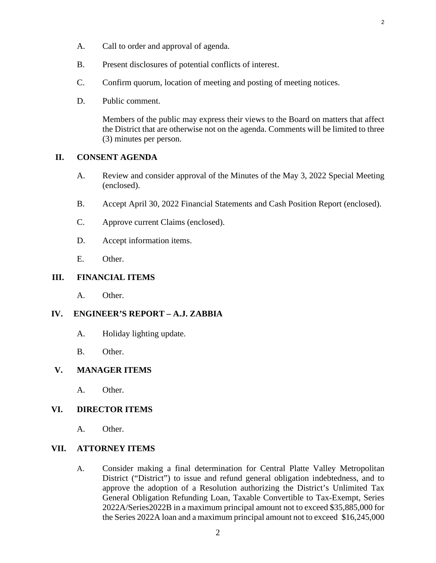- A. Call to order and approval of agenda.
- B. Present disclosures of potential conflicts of interest.
- C. Confirm quorum, location of meeting and posting of meeting notices.
- D. Public comment.

Members of the public may express their views to the Board on matters that affect the District that are otherwise not on the agenda. Comments will be limited to three (3) minutes per person.

# **II. CONSENT AGENDA**

- A. [Review and consider approval of the Minutes of the May 3, 2022 Special Meeting](#page-3-0) (enclosed).
- B. [Accept April 30, 2022 Financial Statements and Cash Position Report \(enclosed\).](#page-7-0)
- C. [Approve current Claims \(enclosed\).](#page-21-0)
- D. Accept information items.
- E. Other.

## **III. FINANCIAL ITEMS**

A. Other.

# **IV. ENGINEER'S REPORT – A.J. ZABBIA**

- A. Holiday lighting update.
- B. Other.

### **V. MANAGER ITEMS**

A. Other.

### **VI. DIRECTOR ITEMS**

A. Other.

### **VII. ATTORNEY ITEMS**

A. Consider making a final determination for Central Platte Valley Metropolitan District ("District") to issue and refund general obligation indebtedness, and to approve the adoption of a Resolution authorizing the District's Unlimited Tax General Obligation Refunding Loan, Taxable Convertible to Tax-Exempt, Series 2022A/Series2022B in a maximum principal amount not to exceed \$35,885,000 for the Series 2022A loan and a maximum principal amount not to exceed \$16,245,000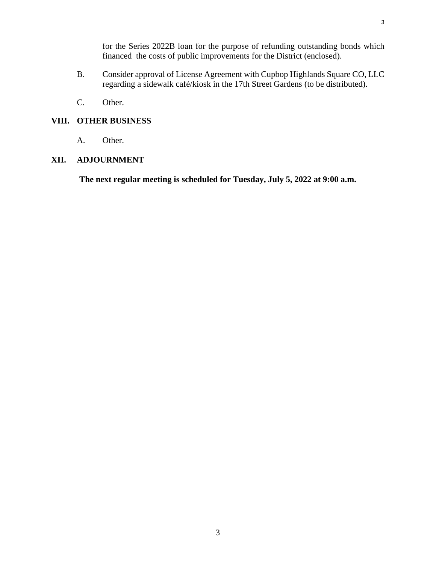[for the Series 2022B loan for the purpose of refunding outstanding bonds which](#page-23-0)  financed the costs of public improvements for the District (enclosed).

- B. Consider approval of License Agreement with Cupbop Highlands Square CO, LLC regarding a sidewalk café/kiosk in the 17th Street Gardens (to be distributed).
- C. Other.

## **VIII. OTHER BUSINESS**

A. Other.

### **XII. ADJOURNMENT**

**The next regular meeting is scheduled for Tuesday, July 5, 2022 at 9:00 a.m.**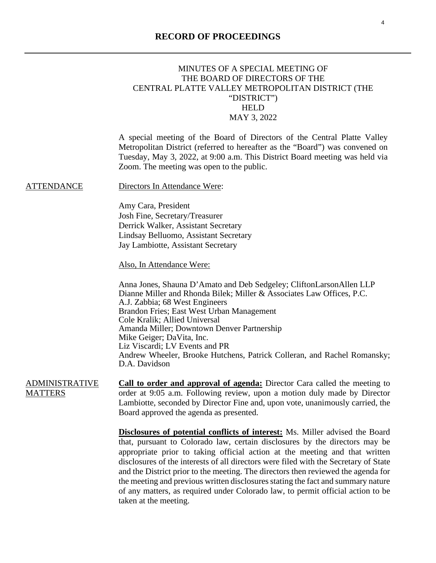# <span id="page-3-0"></span>MINUTES OF A SPECIAL MEETING OF THE BOARD OF DIRECTORS OF THE CENTRAL PLATTE VALLEY METROPOLITAN DISTRICT (THE "DISTRICT") HELD MAY 3, 2022

A special meeting of the Board of Directors of the Central Platte Valley Metropolitan District (referred to hereafter as the "Board") was convened on Tuesday, May 3, 2022, at 9:00 a.m. This District Board meeting was held via Zoom. The meeting was open to the public.

ATTENDANCE Directors In Attendance Were:

Amy Cara, President Josh Fine, Secretary/Treasurer

Derrick Walker, Assistant Secretary Lindsay Belluomo, Assistant Secretary Jay Lambiotte, Assistant Secretary

Also, In Attendance Were:

Anna Jones, Shauna D'Amato and Deb Sedgeley; CliftonLarsonAllen LLP Dianne Miller and Rhonda Bilek; Miller & Associates Law Offices, P.C. A.J. Zabbia; 68 West Engineers Brandon Fries; East West Urban Management Cole Kralik; Allied Universal Amanda Miller; Downtown Denver Partnership Mike Geiger; DaVita, Inc. Liz Viscardi; LV Events and PR Andrew Wheeler, Brooke Hutchens, Patrick Colleran, and Rachel Romansky; D.A. Davidson

ADMINISTRATIVE **MATTERS Call to order and approval of agenda:** Director Cara called the meeting to order at 9:05 a.m. Following review, upon a motion duly made by Director Lambiotte, seconded by Director Fine and, upon vote, unanimously carried, the Board approved the agenda as presented.

> **Disclosures of potential conflicts of interest:** Ms. Miller advised the Board that, pursuant to Colorado law, certain disclosures by the directors may be appropriate prior to taking official action at the meeting and that written disclosures of the interests of all directors were filed with the Secretary of State and the District prior to the meeting. The directors then reviewed the agenda for the meeting and previous written disclosures stating the fact and summary nature of any matters, as required under Colorado law, to permit official action to be taken at the meeting.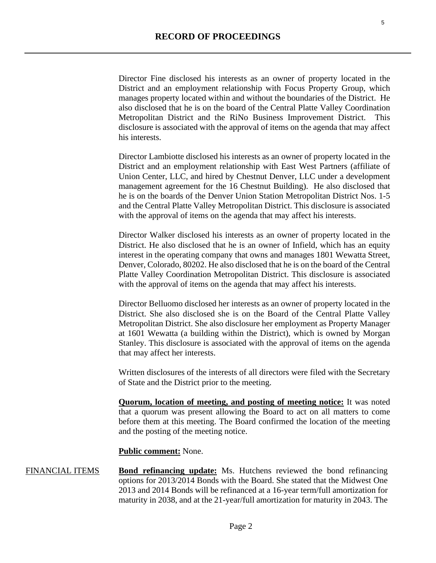Director Fine disclosed his interests as an owner of property located in the District and an employment relationship with Focus Property Group, which manages property located within and without the boundaries of the District. He also disclosed that he is on the board of the Central Platte Valley Coordination Metropolitan District and the RiNo Business Improvement District. This disclosure is associated with the approval of items on the agenda that may affect his interests.

Director Lambiotte disclosed his interests as an owner of property located in the District and an employment relationship with East West Partners (affiliate of Union Center, LLC, and hired by Chestnut Denver, LLC under a development management agreement for the 16 Chestnut Building). He also disclosed that he is on the boards of the Denver Union Station Metropolitan District Nos. 1-5 and the Central Platte Valley Metropolitan District. This disclosure is associated with the approval of items on the agenda that may affect his interests.

Director Walker disclosed his interests as an owner of property located in the District. He also disclosed that he is an owner of Infield, which has an equity interest in the operating company that owns and manages 1801 Wewatta Street, Denver, Colorado, 80202. He also disclosed that he is on the board of the Central Platte Valley Coordination Metropolitan District. This disclosure is associated with the approval of items on the agenda that may affect his interests.

Director Belluomo disclosed her interests as an owner of property located in the District. She also disclosed she is on the Board of the Central Platte Valley Metropolitan District. She also disclosure her employment as Property Manager at 1601 Wewatta (a building within the District), which is owned by Morgan Stanley. This disclosure is associated with the approval of items on the agenda that may affect her interests.

Written disclosures of the interests of all directors were filed with the Secretary of State and the District prior to the meeting.

**Quorum, location of meeting, and posting of meeting notice:** It was noted that a quorum was present allowing the Board to act on all matters to come before them at this meeting. The Board confirmed the location of the meeting and the posting of the meeting notice.

### **Public comment:** None.

FINANCIAL ITEMS **Bond refinancing update:** Ms. Hutchens reviewed the bond refinancing options for 2013/2014 Bonds with the Board. She stated that the Midwest One 2013 and 2014 Bonds will be refinanced at a 16-year term/full amortization for maturity in 2038, and at the 21-year/full amortization for maturity in 2043. The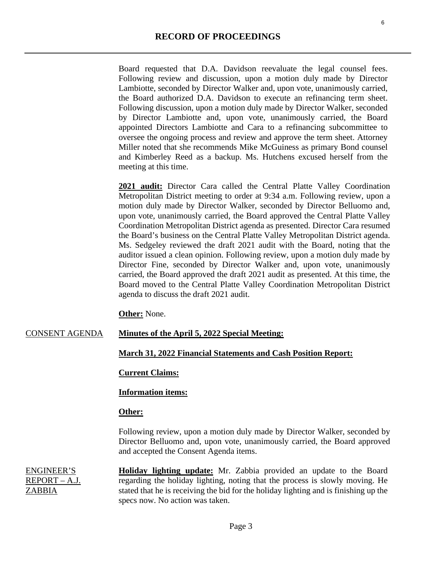Board requested that D.A. Davidson reevaluate the legal counsel fees. Following review and discussion, upon a motion duly made by Director Lambiotte, seconded by Director Walker and, upon vote, unanimously carried, the Board authorized D.A. Davidson to execute an refinancing term sheet. Following discussion, upon a motion duly made by Director Walker, seconded by Director Lambiotte and, upon vote, unanimously carried, the Board appointed Directors Lambiotte and Cara to a refinancing subcommittee to oversee the ongoing process and review and approve the term sheet. Attorney Miller noted that she recommends Mike McGuiness as primary Bond counsel and Kimberley Reed as a backup. Ms. Hutchens excused herself from the meeting at this time.

2021 **audit:** Director Cara called the Central Platte Valley Coordination Metropolitan District meeting to order at 9:34 a.m. Following review, upon a motion duly made by Director Walker, seconded by Director Belluomo and, upon vote, unanimously carried, the Board approved the Central Platte Valley Coordination Metropolitan District agenda as presented. Director Cara resumed the Board's business on the Central Platte Valley Metropolitan District agenda. Ms. Sedgeley reviewed the draft 2021 audit with the Board, noting that the auditor issued a clean opinion. Following review, upon a motion duly made by Director Fine, seconded by Director Walker and, upon vote, unanimously carried, the Board approved the draft 2021 audit as presented. At this time, the Board moved to the Central Platte Valley Coordination Metropolitan District agenda to discuss the draft 2021 audit.

**Other:** None.

#### CONSENT AGENDA **Minutes of the April 5, 2022 Special Meeting:**

#### **March 31, 2022 Financial Statements and Cash Position Report:**

## **Current Claims:**

#### **Information items:**

#### **Other:**

Following review, upon a motion duly made by Director Walker, seconded by Director Belluomo and, upon vote, unanimously carried, the Board approved and accepted the Consent Agenda items.

ENGINEER'S REPORT – A.J. ZABBIA **Holiday lighting update:** Mr. Zabbia provided an update to the Board regarding the holiday lighting, noting that the process is slowly moving. He stated that he is receiving the bid for the holiday lighting and is finishing up the specs now. No action was taken.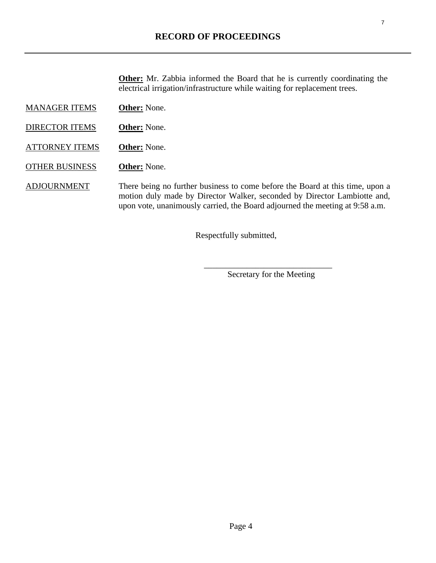**Other:** Mr. Zabbia informed the Board that he is currently coordinating the electrical irrigation/infrastructure while waiting for replacement trees.

- MANAGER ITEMS **Other:** None.
- DIRECTOR ITEMS **Other:** None.
- ATTORNEY ITEMS **Other:** None.
- OTHER BUSINESS **Other:** None.
- ADJOURNMENT There being no further business to come before the Board at this time, upon a motion duly made by Director Walker, seconded by Director Lambiotte and, upon vote, unanimously carried, the Board adjourned the meeting at 9:58 a.m.

Respectfully submitted,

Secretary for the Meeting

 $\overline{\phantom{a}}$  ,  $\overline{\phantom{a}}$  ,  $\overline{\phantom{a}}$  ,  $\overline{\phantom{a}}$  ,  $\overline{\phantom{a}}$  ,  $\overline{\phantom{a}}$  ,  $\overline{\phantom{a}}$  ,  $\overline{\phantom{a}}$  ,  $\overline{\phantom{a}}$  ,  $\overline{\phantom{a}}$  ,  $\overline{\phantom{a}}$  ,  $\overline{\phantom{a}}$  ,  $\overline{\phantom{a}}$  ,  $\overline{\phantom{a}}$  ,  $\overline{\phantom{a}}$  ,  $\overline{\phantom{a}}$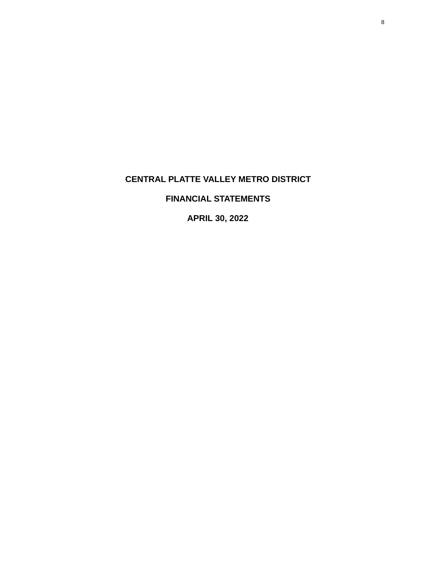# <span id="page-7-0"></span>**CENTRAL PLATTE VALLEY METRO DISTRICT**

# **FINANCIAL STATEMENTS**

**APRIL 30, 2022**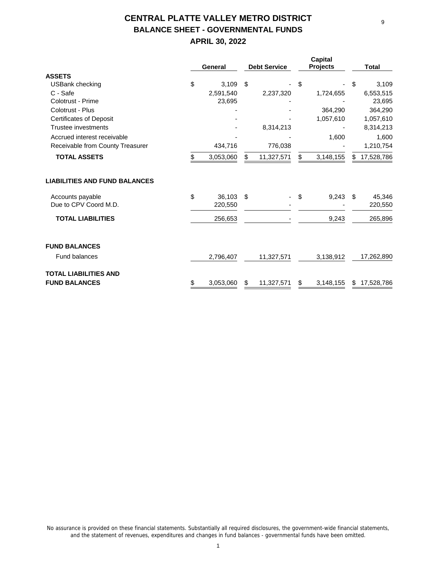# **CENTRAL PLATTE VALLEY METRO DISTRICT BALANCE SHEET - GOVERNMENTAL FUNDS**

# **APRIL 30, 2022**

|                                      | General         | <b>Debt Service</b> | Capital<br><b>Projects</b> |     | <b>Total</b> |
|--------------------------------------|-----------------|---------------------|----------------------------|-----|--------------|
| <b>ASSETS</b>                        |                 |                     |                            |     |              |
| <b>USBank checking</b>               | \$<br>3.109     | \$                  | \$                         | \$  | 3,109        |
| C - Safe                             | 2,591,540       | 2,237,320           | 1,724,655                  |     | 6,553,515    |
| Colotrust - Prime                    | 23,695          |                     |                            |     | 23,695       |
| Colotrust - Plus                     |                 |                     | 364,290                    |     | 364,290      |
| <b>Certificates of Deposit</b>       |                 |                     | 1,057,610                  |     | 1,057,610    |
| Trustee investments                  |                 | 8,314,213           |                            |     | 8,314,213    |
| Accrued interest receivable          |                 |                     | 1,600                      |     | 1,600        |
| Receivable from County Treasurer     | 434,716         | 776,038             |                            |     | 1,210,754    |
| <b>TOTAL ASSETS</b>                  | 3,053,060       | \$<br>11,327,571    | \$<br>3,148,155            | \$  | 17,528,786   |
| <b>LIABILITIES AND FUND BALANCES</b> |                 |                     |                            |     |              |
| Accounts payable                     | \$<br>36.103    | \$                  | \$<br>9,243                | -\$ | 45,346       |
| Due to CPV Coord M.D.                | 220,550         |                     |                            |     | 220,550      |
| <b>TOTAL LIABILITIES</b>             | 256,653         |                     | 9,243                      |     | 265,896      |
| <b>FUND BALANCES</b>                 |                 |                     |                            |     |              |
| <b>Fund balances</b>                 | 2,796,407       | 11,327,571          | 3,138,912                  |     | 17,262,890   |
| <b>TOTAL LIABILITIES AND</b>         |                 |                     |                            |     |              |
| <b>FUND BALANCES</b>                 | \$<br>3,053,060 | \$<br>11,327,571    | \$<br>3,148,155            |     | \$17,528,786 |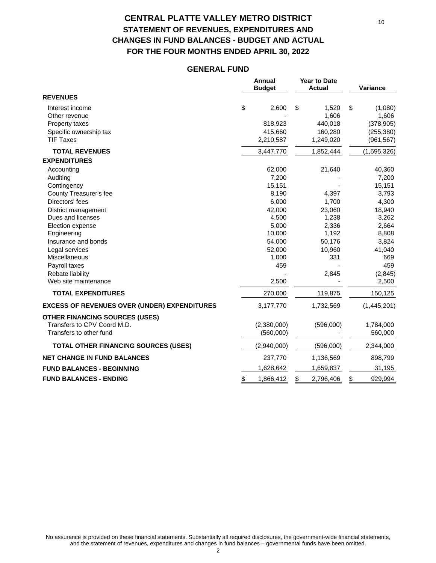# **CENTRAL PLATTE VALLEY METRO DISTRICT STATEMENT OF REVENUES, EXPENDITURES AND CHANGES IN FUND BALANCES - BUDGET AND ACTUAL FOR THE FOUR MONTHS ENDED APRIL 30, 2022**

## **GENERAL FUND**

|                                                     | Annual<br><b>Budget</b> | <b>Year to Date</b><br><b>Actual</b> | Variance      |
|-----------------------------------------------------|-------------------------|--------------------------------------|---------------|
| <b>REVENUES</b>                                     |                         |                                      |               |
| Interest income                                     | \$<br>2.600             | \$<br>1,520                          | \$<br>(1,080) |
| Other revenue                                       |                         | 1,606                                | 1,606         |
| Property taxes                                      | 818,923                 | 440,018                              | (378, 905)    |
| Specific ownership tax                              | 415,660                 | 160,280                              | (255, 380)    |
| <b>TIF Taxes</b>                                    | 2,210,587               | 1,249,020                            | (961, 567)    |
| <b>TOTAL REVENUES</b>                               | 3,447,770               | 1,852,444                            | (1,595,326)   |
| <b>EXPENDITURES</b>                                 |                         |                                      |               |
| Accounting                                          | 62,000                  | 21,640                               | 40,360        |
| Auditing                                            | 7,200                   |                                      | 7,200         |
| Contingency                                         | 15,151                  |                                      | 15,151        |
| County Treasurer's fee                              | 8,190                   | 4,397                                | 3,793         |
| Directors' fees                                     | 6,000                   | 1,700                                | 4,300         |
| District management                                 | 42,000                  | 23,060                               | 18,940        |
| Dues and licenses                                   | 4,500                   | 1,238                                | 3,262         |
| Election expense                                    | 5,000                   | 2,336                                | 2,664         |
| Engineering                                         | 10,000                  | 1,192                                | 8,808         |
| Insurance and bonds                                 | 54,000                  | 50,176                               | 3,824         |
| Legal services                                      | 52,000                  | 10,960                               | 41,040        |
| Miscellaneous                                       | 1,000                   | 331                                  | 669           |
| Payroll taxes                                       | 459                     |                                      | 459           |
| Rebate liability<br>Web site maintenance            | 2,500                   | 2,845                                | (2,845)       |
|                                                     |                         |                                      | 2,500         |
| <b>TOTAL EXPENDITURES</b>                           | 270,000                 | 119,875                              | 150,125       |
| <b>EXCESS OF REVENUES OVER (UNDER) EXPENDITURES</b> | 3,177,770               | 1,732,569                            | (1,445,201)   |
| <b>OTHER FINANCING SOURCES (USES)</b>               |                         |                                      |               |
| Transfers to CPV Coord M.D.                         | (2,380,000)             | (596,000)                            | 1,784,000     |
| Transfers to other fund                             | (560,000)               |                                      | 560,000       |
| <b>TOTAL OTHER FINANCING SOURCES (USES)</b>         | (2,940,000)             | (596,000)                            | 2,344,000     |
| <b>NET CHANGE IN FUND BALANCES</b>                  | 237,770                 | 1,136,569                            | 898,799       |
| <b>FUND BALANCES - BEGINNING</b>                    | 1,628,642               | 1,659,837                            | 31,195        |
| <b>FUND BALANCES - ENDING</b>                       | \$<br>1,866,412         | \$<br>2,796,406                      | \$<br>929,994 |

No assurance is provided on these financial statements. Substantially all required disclosures, the government-wide financial statements, and the statement of revenues, expenditures and changes in fund balances – governmental funds have been omitted. 2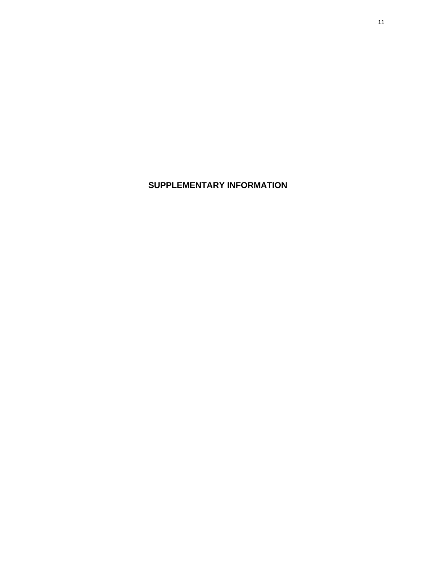**SUPPLEMENTARY INFORMATION**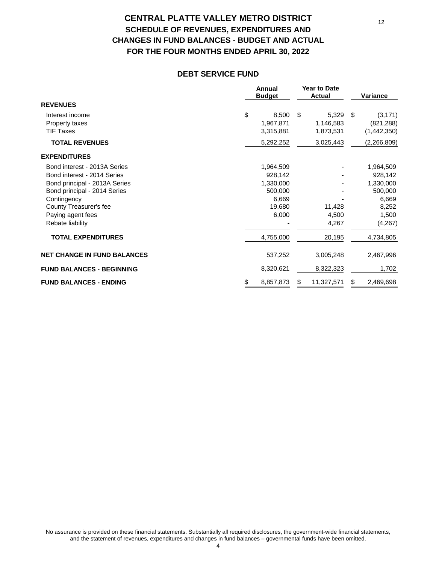# **CENTRAL PLATTE VALLEY METRO DISTRICT SCHEDULE OF REVENUES, EXPENDITURES AND CHANGES IN FUND BALANCES - BUDGET AND ACTUAL FOR THE FOUR MONTHS ENDED APRIL 30, 2022**

#### **DEBT SERVICE FUND**

|                                    | Annual<br><b>Budget</b> | <b>Year to Date</b><br><b>Actual</b> | <b>Variance</b> |
|------------------------------------|-------------------------|--------------------------------------|-----------------|
| <b>REVENUES</b>                    |                         |                                      |                 |
| Interest income                    | \$<br>8,500             | \$<br>5,329                          | \$<br>(3, 171)  |
| Property taxes                     | 1,967,871               | 1,146,583                            | (821, 288)      |
| <b>TIF Taxes</b>                   | 3,315,881               | 1,873,531                            | (1,442,350)     |
| <b>TOTAL REVENUES</b>              | 5,292,252               | 3,025,443                            | (2, 266, 809)   |
| <b>EXPENDITURES</b>                |                         |                                      |                 |
| Bond interest - 2013A Series       | 1,964,509               |                                      | 1,964,509       |
| Bond interest - 2014 Series        | 928,142                 |                                      | 928,142         |
| Bond principal - 2013A Series      | 1,330,000               |                                      | 1,330,000       |
| Bond principal - 2014 Series       | 500,000                 |                                      | 500,000         |
| Contingency                        | 6,669                   |                                      | 6,669           |
| County Treasurer's fee             | 19,680                  | 11,428                               | 8,252           |
| Paying agent fees                  | 6,000                   | 4,500                                | 1,500           |
| Rebate liability                   |                         | 4,267                                | (4,267)         |
| <b>TOTAL EXPENDITURES</b>          | 4,755,000               | 20,195                               | 4,734,805       |
| <b>NET CHANGE IN FUND BALANCES</b> | 537,252                 | 3,005,248                            | 2,467,996       |
| <b>FUND BALANCES - BEGINNING</b>   | 8,320,621               | 8,322,323                            | 1,702           |
| <b>FUND BALANCES - ENDING</b>      | 8,857,873<br>\$         | 11,327,571<br>\$                     | 2,469,698<br>\$ |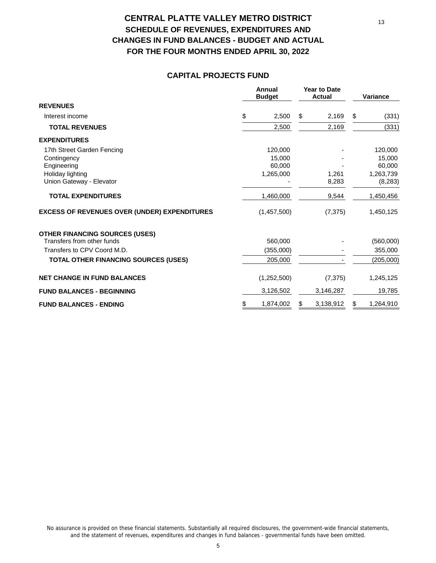# **CENTRAL PLATTE VALLEY METRO DISTRICT SCHEDULE OF REVENUES, EXPENDITURES AND CHANGES IN FUND BALANCES - BUDGET AND ACTUAL FOR THE FOUR MONTHS ENDED APRIL 30, 2022**

## **CAPITAL PROJECTS FUND**

|                                                     | Annual<br><b>Budget</b> | <b>Year to Date</b><br><b>Actual</b> | <b>Variance</b> |
|-----------------------------------------------------|-------------------------|--------------------------------------|-----------------|
| <b>REVENUES</b>                                     |                         |                                      |                 |
| Interest income                                     | \$<br>2,500             | \$<br>2,169                          | \$<br>(331)     |
| <b>TOTAL REVENUES</b>                               | 2,500                   | 2,169                                | (331)           |
| <b>EXPENDITURES</b>                                 |                         |                                      |                 |
| 17th Street Garden Fencing                          | 120,000                 |                                      | 120,000         |
| Contingency                                         | 15,000                  |                                      | 15,000          |
| Engineering                                         | 60,000                  |                                      | 60,000          |
| Holiday lighting                                    | 1,265,000               | 1,261                                | 1,263,739       |
| Union Gateway - Elevator                            |                         | 8,283                                | (8,283)         |
| <b>TOTAL EXPENDITURES</b>                           | 1,460,000               | 9,544                                | 1,450,456       |
| <b>EXCESS OF REVENUES OVER (UNDER) EXPENDITURES</b> | (1,457,500)             | (7, 375)                             | 1,450,125       |
| <b>OTHER FINANCING SOURCES (USES)</b>               |                         |                                      |                 |
| Transfers from other funds                          | 560,000                 |                                      | (560,000)       |
| Transfers to CPV Coord M.D.                         | (355,000)               |                                      | 355,000         |
| TOTAL OTHER FINANCING SOURCES (USES)                | 205,000                 |                                      | (205,000)       |
| <b>NET CHANGE IN FUND BALANCES</b>                  | (1,252,500)             | (7, 375)                             | 1,245,125       |
| <b>FUND BALANCES - BEGINNING</b>                    | 3,126,502               | 3,146,287                            | 19,785          |
| <b>FUND BALANCES - ENDING</b>                       | \$<br>1,874,002         | \$<br>3,138,912                      | \$<br>1,264,910 |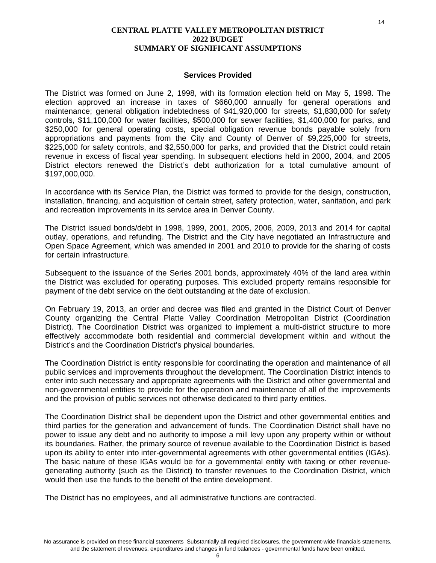#### **Services Provided**

The District was formed on June 2, 1998, with its formation election held on May 5, 1998. The election approved an increase in taxes of \$660,000 annually for general operations and maintenance; general obligation indebtedness of \$41,920,000 for streets, \$1,830,000 for safety controls, \$11,100,000 for water facilities, \$500,000 for sewer facilities, \$1,400,000 for parks, and \$250,000 for general operating costs, special obligation revenue bonds payable solely from appropriations and payments from the City and County of Denver of \$9,225,000 for streets, \$225,000 for safety controls, and \$2,550,000 for parks, and provided that the District could retain revenue in excess of fiscal year spending. In subsequent elections held in 2000, 2004, and 2005 District electors renewed the District's debt authorization for a total cumulative amount of \$197,000,000.

In accordance with its Service Plan, the District was formed to provide for the design, construction, installation, financing, and acquisition of certain street, safety protection, water, sanitation, and park and recreation improvements in its service area in Denver County.

The District issued bonds/debt in 1998, 1999, 2001, 2005, 2006, 2009, 2013 and 2014 for capital outlay, operations, and refunding. The District and the City have negotiated an Infrastructure and Open Space Agreement, which was amended in 2001 and 2010 to provide for the sharing of costs for certain infrastructure.

Subsequent to the issuance of the Series 2001 bonds, approximately 40% of the land area within the District was excluded for operating purposes. This excluded property remains responsible for payment of the debt service on the debt outstanding at the date of exclusion.

On February 19, 2013, an order and decree was filed and granted in the District Court of Denver County organizing the Central Platte Valley Coordination Metropolitan District (Coordination District). The Coordination District was organized to implement a multi-district structure to more effectively accommodate both residential and commercial development within and without the District's and the Coordination District's physical boundaries.

The Coordination District is entity responsible for coordinating the operation and maintenance of all public services and improvements throughout the development. The Coordination District intends to enter into such necessary and appropriate agreements with the District and other governmental and non-governmental entities to provide for the operation and maintenance of all of the improvements and the provision of public services not otherwise dedicated to third party entities.

The Coordination District shall be dependent upon the District and other governmental entities and third parties for the generation and advancement of funds. The Coordination District shall have no power to issue any debt and no authority to impose a mill levy upon any property within or without its boundaries. Rather, the primary source of revenue available to the Coordination District is based upon its ability to enter into inter-governmental agreements with other governmental entities (IGAs). The basic nature of these IGAs would be for a governmental entity with taxing or other revenuegenerating authority (such as the District) to transfer revenues to the Coordination District, which would then use the funds to the benefit of the entire development.

The District has no employees, and all administrative functions are contracted.

14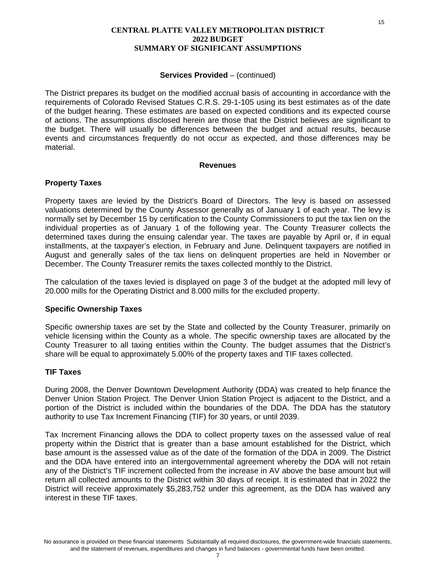#### **Services Provided – (continued)**

The District prepares its budget on the modified accrual basis of accounting in accordance with the requirements of Colorado Revised Statues C.R.S. 29-1-105 using its best estimates as of the date of the budget hearing. These estimates are based on expected conditions and its expected course of actions. The assumptions disclosed herein are those that the District believes are significant to the budget. There will usually be differences between the budget and actual results, because events and circumstances frequently do not occur as expected, and those differences may be material.

#### **Revenues**

#### **Property Taxes**

Property taxes are levied by the District's Board of Directors. The levy is based on assessed valuations determined by the County Assessor generally as of January 1 of each year. The levy is normally set by December 15 by certification to the County Commissioners to put the tax lien on the individual properties as of January 1 of the following year. The County Treasurer collects the determined taxes during the ensuing calendar year. The taxes are payable by April or, if in equal installments, at the taxpayer's election, in February and June. Delinquent taxpayers are notified in August and generally sales of the tax liens on delinquent properties are held in November or December. The County Treasurer remits the taxes collected monthly to the District.

The calculation of the taxes levied is displayed on page 3 of the budget at the adopted mill levy of 20.000 mills for the Operating District and 8.000 mills for the excluded property.

#### **Specific Ownership Taxes**

Specific ownership taxes are set by the State and collected by the County Treasurer, primarily on vehicle licensing within the County as a whole. The specific ownership taxes are allocated by the County Treasurer to all taxing entities within the County. The budget assumes that the District's share will be equal to approximately 5.00% of the property taxes and TIF taxes collected.

### **TIF Taxes**

During 2008, the Denver Downtown Development Authority (DDA) was created to help finance the Denver Union Station Project. The Denver Union Station Project is adjacent to the District, and a portion of the District is included within the boundaries of the DDA. The DDA has the statutory authority to use Tax Increment Financing (TIF) for 30 years, or until 2039.

Tax Increment Financing allows the DDA to collect property taxes on the assessed value of real property within the District that is greater than a base amount established for the District, which base amount is the assessed value as of the date of the formation of the DDA in 2009. The District and the DDA have entered into an intergovernmental agreement whereby the DDA will not retain any of the District's TIF increment collected from the increase in AV above the base amount but will return all collected amounts to the District within 30 days of receipt. It is estimated that in 2022 the District will receive approximately \$5,283,752 under this agreement, as the DDA has waived any interest in these TIF taxes.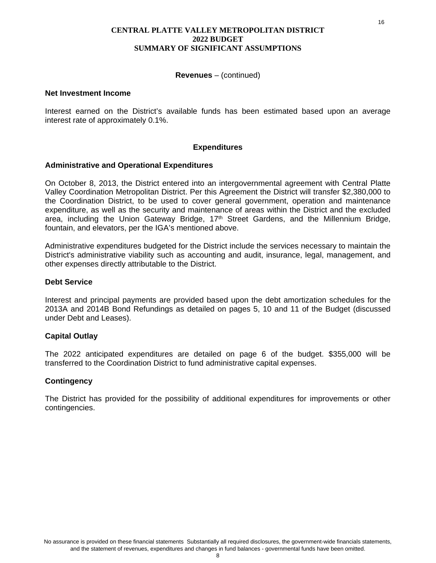#### **Revenues** – (continued)

#### **Net Investment Income**

Interest earned on the District's available funds has been estimated based upon an average interest rate of approximately 0.1%.

### **Expenditures**

#### **Administrative and Operational Expenditures**

On October 8, 2013, the District entered into an intergovernmental agreement with Central Platte Valley Coordination Metropolitan District. Per this Agreement the District will transfer \$2,380,000 to the Coordination District, to be used to cover general government, operation and maintenance expenditure, as well as the security and maintenance of areas within the District and the excluded area, including the Union Gateway Bridge, 17<sup>th</sup> Street Gardens, and the Millennium Bridge, fountain, and elevators, per the IGA's mentioned above.

Administrative expenditures budgeted for the District include the services necessary to maintain the District's administrative viability such as accounting and audit, insurance, legal, management, and other expenses directly attributable to the District.

#### **Debt Service**

Interest and principal payments are provided based upon the debt amortization schedules for the 2013A and 2014B Bond Refundings as detailed on pages 5, 10 and 11 of the Budget (discussed under Debt and Leases).

### **Capital Outlay**

The 2022 anticipated expenditures are detailed on page 6 of the budget. \$355,000 will be transferred to the Coordination District to fund administrative capital expenses.

#### **Contingency**

The District has provided for the possibility of additional expenditures for improvements or other contingencies.

16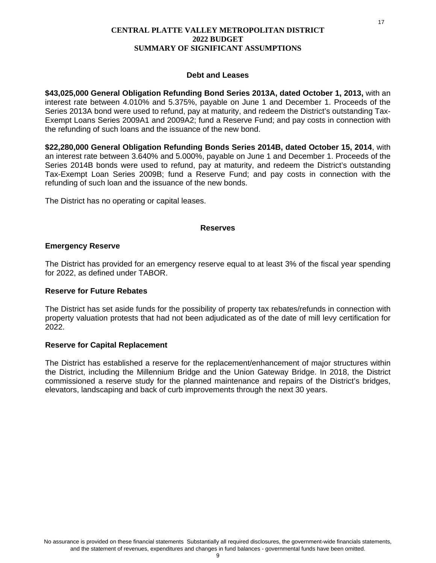#### **Debt and Leases**

**\$43,025,000 General Obligation Refunding Bond Series 2013A, dated October 1, 2013,** with an interest rate between 4.010% and 5.375%, payable on June 1 and December 1. Proceeds of the Series 2013A bond were used to refund, pay at maturity, and redeem the District's outstanding Tax-Exempt Loans Series 2009A1 and 2009A2; fund a Reserve Fund; and pay costs in connection with the refunding of such loans and the issuance of the new bond.

**\$22,280,000 General Obligation Refunding Bonds Series 2014B, dated October 15, 2014**, with an interest rate between 3.640% and 5.000%, payable on June 1 and December 1. Proceeds of the Series 2014B bonds were used to refund, pay at maturity, and redeem the District's outstanding Tax-Exempt Loan Series 2009B; fund a Reserve Fund; and pay costs in connection with the refunding of such loan and the issuance of the new bonds.

The District has no operating or capital leases.

#### **Reserves**

### **Emergency Reserve**

The District has provided for an emergency reserve equal to at least 3% of the fiscal year spending for 2022, as defined under TABOR.

### **Reserve for Future Rebates**

The District has set aside funds for the possibility of property tax rebates/refunds in connection with property valuation protests that had not been adjudicated as of the date of mill levy certification for 2022.

### **Reserve for Capital Replacement**

The District has established a reserve for the replacement/enhancement of major structures within the District, including the Millennium Bridge and the Union Gateway Bridge. In 2018, the District commissioned a reserve study for the planned maintenance and repairs of the District's bridges, elevators, landscaping and back of curb improvements through the next 30 years.

17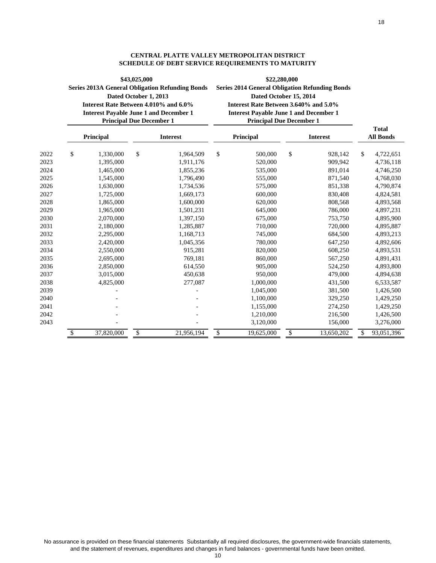|      | Dated October 1, 2013<br>Interest Rate Between 4.010% and 6.0%<br><b>Interest Payable June 1 and December 1</b><br><b>Principal Due December 1</b> |    | <b>Series 2013A General Obligation Refunding Bonds</b> | <b>Series 2014 General Obligation Refunding Bonds</b><br>Dated October 15, 2014<br>Interest Rate Between 3.640% and 5.0%<br><b>Interest Payable June 1 and December 1</b><br><b>Principal Due December 1</b> |    |                 |                                  |
|------|----------------------------------------------------------------------------------------------------------------------------------------------------|----|--------------------------------------------------------|--------------------------------------------------------------------------------------------------------------------------------------------------------------------------------------------------------------|----|-----------------|----------------------------------|
|      | Principal                                                                                                                                          |    | <b>Interest</b>                                        | Principal                                                                                                                                                                                                    |    | <b>Interest</b> | <b>Total</b><br><b>All Bonds</b> |
| 2022 | \$<br>1,330,000                                                                                                                                    | \$ | 1,964,509                                              | \$<br>500,000                                                                                                                                                                                                | \$ | 928,142         | \$<br>4,722,651                  |
| 2023 | 1,395,000                                                                                                                                          |    | 1,911,176                                              | 520,000                                                                                                                                                                                                      |    | 909.942         | 4,736,118                        |
| 2024 | 1,465,000                                                                                                                                          |    | 1,855,236                                              | 535,000                                                                                                                                                                                                      |    | 891,014         | 4,746,250                        |
| 2025 | 1,545,000                                                                                                                                          |    | 1,796,490                                              | 555,000                                                                                                                                                                                                      |    | 871,540         | 4,768,030                        |
| 2026 | 1,630,000                                                                                                                                          |    | 1,734,536                                              | 575,000                                                                                                                                                                                                      |    | 851,338         | 4,790,874                        |
| 2027 | 1,725,000                                                                                                                                          |    | 1,669,173                                              | 600,000                                                                                                                                                                                                      |    | 830,408         | 4,824,581                        |
| 2028 | 1,865,000                                                                                                                                          |    | 1,600,000                                              | 620,000                                                                                                                                                                                                      |    | 808,568         | 4,893,568                        |
| 2029 | 1,965,000                                                                                                                                          |    | 1,501,231                                              | 645,000                                                                                                                                                                                                      |    | 786,000         | 4,897,231                        |
| 2030 | 2,070,000                                                                                                                                          |    | 1,397,150                                              | 675,000                                                                                                                                                                                                      |    | 753,750         | 4,895,900                        |
| 2031 | 2,180,000                                                                                                                                          |    | 1,285,887                                              | 710,000                                                                                                                                                                                                      |    | 720,000         | 4,895,887                        |
| 2032 | 2,295,000                                                                                                                                          |    | 1,168,713                                              | 745,000                                                                                                                                                                                                      |    | 684,500         | 4,893,213                        |
| 2033 | 2,420,000                                                                                                                                          |    | 1,045,356                                              | 780,000                                                                                                                                                                                                      |    | 647,250         | 4,892,606                        |
| 2034 | 2,550,000                                                                                                                                          |    | 915,281                                                | 820,000                                                                                                                                                                                                      |    | 608,250         | 4,893,531                        |
| 2035 | 2,695,000                                                                                                                                          |    | 769,181                                                | 860,000                                                                                                                                                                                                      |    | 567,250         | 4,891,431                        |
| 2036 | 2,850,000                                                                                                                                          |    | 614,550                                                | 905,000                                                                                                                                                                                                      |    | 524,250         | 4,893,800                        |
| 2037 | 3,015,000                                                                                                                                          |    | 450,638                                                | 950,000                                                                                                                                                                                                      |    | 479,000         | 4,894,638                        |
| 2038 | 4,825,000                                                                                                                                          |    | 277,087                                                | 1,000,000                                                                                                                                                                                                    |    | 431,500         | 6,533,587                        |
| 2039 |                                                                                                                                                    |    |                                                        | 1,045,000                                                                                                                                                                                                    |    | 381,500         | 1,426,500                        |
| 2040 |                                                                                                                                                    |    |                                                        | 1,100,000                                                                                                                                                                                                    |    | 329,250         | 1,429,250                        |
| 2041 |                                                                                                                                                    |    |                                                        | 1,155,000                                                                                                                                                                                                    |    | 274,250         | 1,429,250                        |
| 2042 |                                                                                                                                                    |    |                                                        | 1,210,000                                                                                                                                                                                                    |    | 216,500         | 1,426,500                        |
| 2043 |                                                                                                                                                    |    |                                                        | 3,120,000                                                                                                                                                                                                    |    | 156,000         | 3,276,000                        |
|      | \$<br>37,820,000                                                                                                                                   | \$ | 21,956,194                                             | \$<br>19,625,000                                                                                                                                                                                             | \$ | 13,650,202      | \$<br>93,051,396                 |

#### **CENTRAL PLATTE VALLEY METROPOLITAN DISTRICT SCHEDULE OF DEBT SERVICE REQUIREMENTS TO MATURITY**

**\$22,280,000**

**\$43,025,000**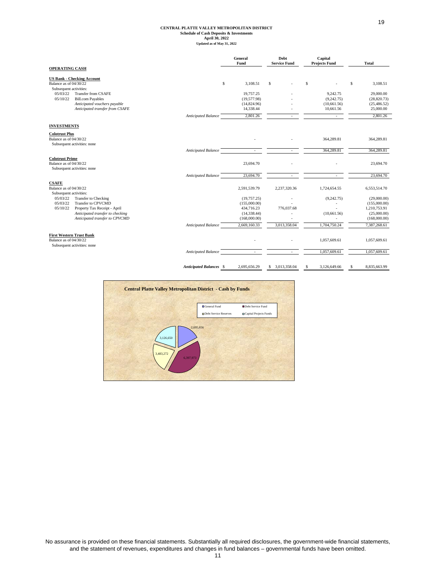# **CENTRAL PLATTE VALLEY METROPOLITAN DISTRICT Schedule of Cash Deposits & Investments April 30, 2022 Updated as of May 31, 2022**

|                                                                                          |                                | General<br>Fund | Debt<br><b>Service Fund</b> | Capital<br><b>Projects Fund</b> | <b>Total</b>       |
|------------------------------------------------------------------------------------------|--------------------------------|-----------------|-----------------------------|---------------------------------|--------------------|
| <b>OPERATING CASH</b>                                                                    |                                |                 |                             |                                 |                    |
| <b>US Bank - Checking Account</b><br>Balance as of 04/30/22<br>Subsequent activities:    | \$                             | 3,108.51        | \$                          | \$                              | \$<br>3,108.51     |
| Transfer from CSAFE<br>05/03/22                                                          |                                | 19,757.25       |                             | 9,242.75                        | 29,000.00          |
| 05/10/22<br><b>Bill.com Payables</b>                                                     |                                | (19,577.98)     |                             | (9, 242.75)                     | (28,820.73)        |
| Anticipated vouchers payable                                                             |                                | (14,824.96)     |                             | (10,661.56)                     | (25, 486.52)       |
| Anticipated transfer from CSAFE                                                          |                                | 14,338.44       |                             | 10,661.56                       | 25,000.00          |
|                                                                                          | Anticipated Balance            | 2,801.26        |                             |                                 | 2,801.26           |
| <b>INVESTMENTS</b>                                                                       |                                |                 |                             |                                 |                    |
| <b>Colotrust Plus</b><br>Balance as of 04/30/22<br>Subsequent activities: none           |                                |                 |                             | 364,289.81                      | 364,289.81         |
|                                                                                          | Anticipated Balance            |                 |                             | 364,289.81                      | 364,289.81         |
| <b>Colotrust Prime</b><br>Balance as of 04/30/22<br>Subsequent activities: none          |                                | 23,694.70       |                             |                                 | 23,694.70          |
|                                                                                          | <b>Anticipated Balance</b>     | 23,694.70       |                             |                                 | 23,694.70          |
| <b>CSAFE</b><br>Balance as of 04/30/22<br>Subsequent activities:                         |                                | 2,591,539.79    | 2,237,320.36                | 1,724,654.55                    | 6,553,514.70       |
| Transfer to Checking<br>05/03/22                                                         |                                | (19,757.25)     |                             | (9, 242.75)                     | (29,000.00)        |
| 05/03/22<br>Transfer to CPVCMD                                                           |                                | (155,000.00)    |                             |                                 | (155,000.00)       |
| 05/10/22<br>Property Tax Receipt - April                                                 |                                | 434,716.23      | 776,037.68                  |                                 | 1,210,753.91       |
| Anticipated transfer to checking                                                         |                                | (14, 338.44)    |                             | (10,661.56)                     | (25,000.00)        |
| Anticipated transfer to CPVCMD                                                           |                                | (168,000.00)    |                             |                                 | (168,000.00)       |
|                                                                                          | Anticipated Balance            | 2,669,160.33    | 3,013,358.04                | 1,704,750.24                    | 7,387,268.61       |
| <b>First Western Trust Bank</b><br>Balance as of 04/30/22<br>Subsequent activities: none |                                |                 |                             | 1,057,609.61                    | 1,057,609.61       |
|                                                                                          | Anticipated Balance            | $\sim$          |                             | 1,057,609.61                    | 1,057,609.61       |
|                                                                                          | <b>Anticipated Balances \$</b> | 2,695,656.29    | 3,013,358.04<br>S           | 3,126,649.66<br>\$              | 8,835,663.99<br>\$ |

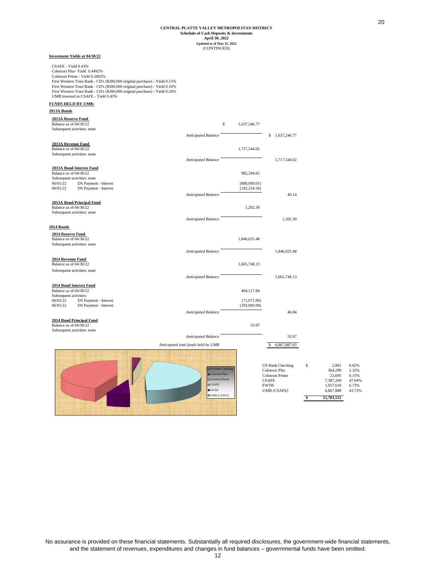#### **April 30, 2022 Schedule of Cash Deposits & Investments Updated as of May 31, 2022** (CONTINUED) **CENTRAL PLATTE VALLEY METROPOLITAN DISTRICT**

*Anticipated Balance* **8 1,637,246.77** 

*Anticipated Balance* 1,717,544.02

Anticipated Balance 40.14

*Anticipated Balance* 1,202.30

*Anticipated Balance* 1,846,025.48

*Anticipated Balance* 1,665,748.13

*Anticipated Balance* 46.84

#### **Investment Yields at 04/30/22**

CSAFE - Yield 0.43% Colotrust Plus- Yield 0.4492% Colotrust Prime - Yield 0.2002% First Western Trust Bank - CD's (\$200,000 original purchase) - Yield 0.15% First Western Trust Bank - CD's (\$500,000 original purchase) - Yield 0.10% First Western Trust Bank - CD's (\$300,000 original purchase) - Yield 0.20% UMB invested in CSAFE - Yield 0.43%

#### **FUNDS HELD BY UMB:**

**2013A Bonds**

# **2013A Reserve Fund** 1,637,246.77<br>
Balance as of 04/30/22 **1,637,246.77**

Subsequent activities: none

# **2013A Revenue Fund** 1,717,544.02<br>Balance as of 04/30/22 1,717,544.02

Subsequent activities: none

# **2013A Bond Interest Fund**

Balance as of  $04/30/22$  982,294.65 Subsequent activities: none<br> $06/01/22$  DS Paymer 06/01/22 DS Payment - Interest (800,000.01)<br>06/01/22 DS Payment - Interest (182,254.50) DS Payment - Interest

#### **2013A Bond Principal Fund**

Balance as of 04/30/22 1,202.30 Subsequent activities: none

#### **2014 Bonds**

**2014 Reserve Fund 1,846,025.48**<br>Balance as of 04/30/22 1,846,025.48 Subsequent activities: none

#### **2014 Revenue Fund**

**Balance as of 04/30/22** 1,665,748.13 Subsequent activities: none

#### **2014 Bond Interest Fund** Balance as of 04/30/22 464,117.84

Subsequent activities:<br>06/01/22 DS Pa 06/01/22 DS Payment - Interest (71,071.00)<br>06/01/22 DS Payment - Interest (393,000.00) DS Payment - Interest

#### **2014 Bond Principal Fund**

Balance as of  $04/30/22$  33.97 Subsequent activities: none

#### *Anticipated Balance* 33.97 Anticipated total funds held by UMB  $$ 6,867,887.65$

**DUS Bank Check** ■Colotrust Plus  $\blacksquare$ Colotrust Prim **OCSAFE** FWTB UMB (CSAFE)

|                         |   | 15.703.552 |        |
|-------------------------|---|------------|--------|
| <b>UMB (CSAFE)</b>      |   | 6,867,888  | 43.73% |
| <b>FWTB</b>             |   | 1.057.610  | 6.73%  |
| <b>CSAFE</b>            |   | 7.387.269  | 47.04% |
| Colotrust Prime         |   | 23.695     | 0.15%  |
| Colotrust Plus          |   | 364,290    | 2.32%  |
| <b>US Bank Checking</b> | S | 2.801      | 0.02%  |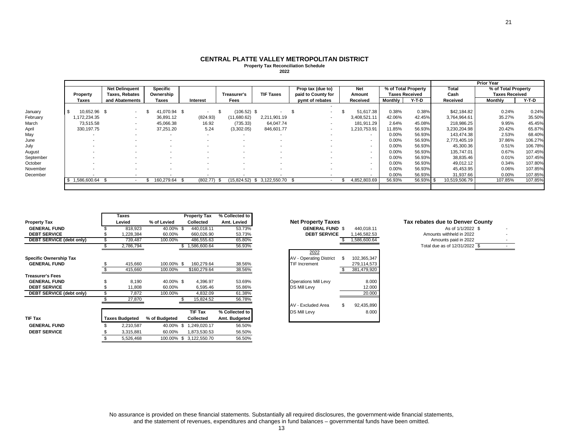#### **CENTRAL PLATTE VALLEY METROPOLITAN DISTRICT Property Tax Reconciliation Schedule**

**2022**

|           |              |                       |                 |                          |               |                               |                          |                          |                     |                       |               | <b>Prior Year</b>     |         |
|-----------|--------------|-----------------------|-----------------|--------------------------|---------------|-------------------------------|--------------------------|--------------------------|---------------------|-----------------------|---------------|-----------------------|---------|
|           |              | <b>Net Delinguent</b> | <b>Specific</b> |                          |               |                               | Prop tax (due to)        | <b>Net</b>               | % of Total Property |                       | Total         | % of Total Property   |         |
|           | Property     | <b>Taxes, Rebates</b> | Ownership       |                          | Treasurer's   | <b>TIF Taxes</b>              | paid to County for       | Amount                   |                     | <b>Taxes Received</b> | Cash          | <b>Taxes Received</b> |         |
|           | Taxes        | and Abatements        | <b>Taxes</b>    | Interest                 | Fees          |                               | pymt of rebates          | Received                 | Monthly             | Y-T-D                 | Received      | <b>Monthly</b>        | Y-T-D   |
|           |              |                       |                 |                          |               |                               |                          |                          |                     |                       |               |                       |         |
| January   | 10.652.96 \$ | $\sim$                | 41,070.94 \$    | $\sim$                   | $(106.52)$ \$ |                               | $\blacksquare$           | 51,617.38                | 0.38%               | 0.38%                 | \$42,184.82   | 0.24%                 | 0.24%   |
| February  | 1,172,234.35 |                       | 36,891.12       | (824.93)                 | (11,680.62)   | 2,211,901.19                  |                          | 3,408,521.11             | 42.06%              | 42.45%                | 3,764,964.61  | 35.27%                | 35.50%  |
| March     | 73.515.58    |                       | 45,066.38       | 16.92                    | (735.33)      | 64.047.74                     |                          | 181,911.29               | 2.64%               | 45.08%                | 218,986.25    | 9.95%                 | 45.45%  |
| April     | 330, 197. 75 |                       | 37,251.20       | 5.24                     | (3,302.05)    | 846,601.77                    | ۰.                       | 1,210,753.91             | 11.85%              | 56.93%                | 3,230,204.98  | 20.42%                | 65.87%  |
| May       |              |                       |                 | $\overline{\phantom{a}}$ |               | $\overline{\phantom{a}}$      | $\overline{\phantom{a}}$ | $\overline{\phantom{a}}$ | 0.00%               | 56.93%                | 143.474.38    | 2.53%                 | 68.40%  |
| June      |              |                       |                 |                          |               |                               |                          | $\sim$                   | 0.00%               | 56.93%                | 2,773,405.19  | 37.86%                | 106.27% |
| July      |              |                       |                 |                          |               |                               |                          | ۰.                       | $0.00\%$            | 56.93%                | 45,300.36     | 0.51%                 | 106.78% |
| August    |              |                       |                 |                          |               |                               |                          | $\overline{\phantom{a}}$ | 0.00%               | 56.93%                | 135,747.01    | 0.67%                 | 107.45% |
| September |              |                       |                 |                          |               |                               |                          | ٠                        | 0.00%               | 56.93%                | 38,835.46     | 0.01%                 | 107.45% |
| October   |              |                       |                 |                          |               |                               |                          | ۰.                       | 0.00%               | 56.93%                | 49,012.12     | 0.34%                 | 107.80% |
| November  |              |                       |                 |                          |               |                               |                          |                          | 0.00%               | 56.93%                | 45,453.95     | 0.06%                 | 107.85% |
| December  |              |                       |                 |                          |               |                               |                          |                          | $0.00\%$            | 56.93%                | 31,937.66     | 0.00%                 | 107.85% |
|           | 1,586,600.64 |                       | 160,279.64      | (802.77)                 |               | $(15,824.52)$ \$ 3,122,550.70 |                          | 4,852,803.69             | 56.93%              | 56.93% \$             | 10,519,506.79 | 107.85%               | 107.85% |
|           |              |                       |                 |                          |               |                               |                          |                          |                     |                       |               |                       |         |

|                               | <b>Taxes</b>          |               | <b>Property Tax</b>     | % Collected to |                                               |                                  |
|-------------------------------|-----------------------|---------------|-------------------------|----------------|-----------------------------------------------|----------------------------------|
| <b>Property Tax</b>           | Levied                | % of Levied   | Collected               | Amt. Levied    | <b>Net Property Taxes</b>                     | Tax rebates due to Denver County |
| <b>GENERAL FUND</b>           | 818,923               | 40.00% \$     | 440,018.11              | 53.73%         | <b>GENERAL FUND \$</b><br>440,018.11          | As of 1/1/2022 \$                |
| <b>DEBT SERVICE</b>           | ,228,384              | 60.00%        | 660,026.90              | 53.73%         | <b>DEBT SERVICE</b><br>1,146,582.53           | Amounts withheld in 2022         |
| DEBT SERVICE (debt only)      | 739,487               | 100.00%       | 486,555.63              | 65.80%         | 1,586,600.64                                  | Amounts paid in 2022             |
|                               | 2,786,794             |               | 1,586,600.64            | 56.93%         |                                               | Total due as of 12/31/2022 \$    |
|                               |                       |               |                         |                | 2022                                          |                                  |
| <b>Specific Ownership Tax</b> |                       |               |                         |                | 102,365,347<br><b>AV - Operating District</b> |                                  |
| <b>GENERAL FUND</b>           | 415,660               | 100.00% \$    | 160,279.64              | 38.56%         | <b>TIF Increment</b><br>279,114,573           |                                  |
|                               | 415,660               | 100.00%       | \$160,279.64            | 38.56%         | 381,479,920                                   |                                  |
| <b>Treasurer's Fees</b>       |                       |               |                         |                |                                               |                                  |
| <b>GENERAL FUND</b>           | 8,190                 | 40.00% \$     | 4,396.97                | 53.69%         | 8.000<br><b>Operations Mill Levy</b>          |                                  |
| <b>DEBT SERVICE</b>           | 11,808                | 60.00%        | 6,595.46                | 55.86%         | <b>DS Mill Levy</b><br>12.000                 |                                  |
| DEBT SERVICE (debt only)      | 7,872                 | 100.00%       | 4,832.09                | 61.38%         | 20.000                                        |                                  |
|                               | 27,870                |               | 15,824.52               | 56.78%         |                                               |                                  |
|                               |                       |               |                         |                | \$.<br>92,435,890<br>AV - Excluded Area       |                                  |
|                               |                       |               | <b>TIF Tax</b>          | % Collected to | <b>DS Mill Levy</b><br>8.000                  |                                  |
| <b>TIF Tax</b>                | <b>Taxes Budgeted</b> | % of Budgeted | Collected               | Amt. Budgeted  |                                               |                                  |
| <b>GENERAL FUND</b>           | 2,210,587             | 40.00%        | S.<br>1,249,020.17      | 56.50%         |                                               |                                  |
| <b>DEBT SERVICE</b>           | 3,315,881             | 60.00%        | 1,873,530.53            | 56.50%         |                                               |                                  |
|                               | 5,526,468             |               | 100.00% \$ 3,122,550.70 | 56.50%         |                                               |                                  |

 $\sim$ 

|               | <b>Net Property Taxes</b>      |                   |
|---------------|--------------------------------|-------------------|
| $\%$          | <b>GENERAL FUND \$</b>         | 440,018.11        |
| ℅             | <b>DEBT SERVICE</b>            | 1,146,582.53      |
|               |                                | 1,586,600.64      |
| %<br>%        |                                |                   |
|               | 2022                           |                   |
|               | <b>AV - Operating District</b> | \$<br>102,365,347 |
|               | <b>TIF Increment</b>           | 279.114.573       |
| %<br>%        |                                | 381,479,920       |
|               |                                |                   |
| %             | <b>Operations Mill Levy</b>    | 8.000             |
|               | DS Mill Levy                   | 12.000            |
| %<br>%        |                                | 20.000            |
| $\frac{0}{6}$ |                                |                   |
|               | AV - Excluded Area             | \$<br>92,435,890  |
| o             | DS Mill Levy                   | 8.000             |

| <b>Fax rebates due to Denver Countv</b> |  |  |  |
|-----------------------------------------|--|--|--|
|                                         |  |  |  |

| As of 1/1/2022 \$             |  |  |
|-------------------------------|--|--|
| Amounts withheld in 2022      |  |  |
| Amounts paid in 2022          |  |  |
| Total due as of 12/31/2022 \$ |  |  |

No assurance is provided on these financial statements. Substantially all required disclosures, the government-wide financial statements,<br>and the statement of revenues, expenditures and changes in fund balances – governmen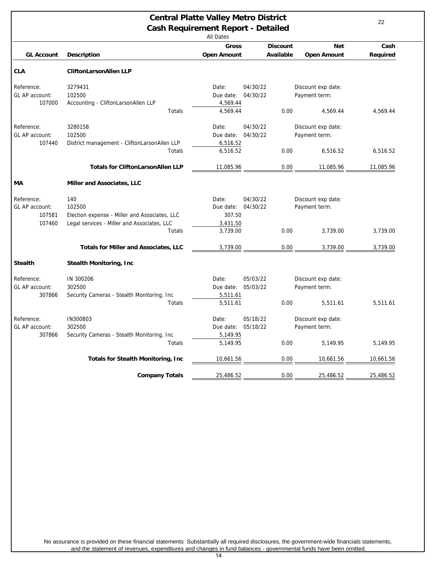<span id="page-21-0"></span>

| <b>Central Platte Valley Metro District</b><br><b>Cash Requirement Report - Detailed</b><br><b>All Dates</b> |                                                                              |                                            |                      |                 |                                                 | 22        |
|--------------------------------------------------------------------------------------------------------------|------------------------------------------------------------------------------|--------------------------------------------|----------------------|-----------------|-------------------------------------------------|-----------|
|                                                                                                              |                                                                              | <b>Gross</b>                               |                      | <b>Discount</b> | <b>Net</b>                                      | Cash      |
| <b>GL Account</b>                                                                                            | <b>Description</b>                                                           | <b>Open Amount</b>                         |                      | Available       | <b>Open Amount</b>                              | Required  |
| <b>CLA</b>                                                                                                   | <b>CliftonLarsonAllen LLP</b>                                                |                                            |                      |                 |                                                 |           |
| Reference:<br>GL AP account:<br>107000                                                                       | 3279431<br>102500<br>Accounting - CliftonLarsonAllen LLP                     | Date:<br>Due date:<br>4,569.44             | 04/30/22<br>04/30/22 |                 | Discount exp date:<br>Payment term:             |           |
|                                                                                                              | Totals                                                                       | 4,569.44                                   |                      | 0.00            | 4,569.44                                        | 4,569.44  |
| Reference:<br>GL AP account:<br>107440                                                                       | 3280158<br>102500<br>District management - CliftonLarsonAllen LLP<br>Totals  | Date:<br>Due date:<br>6,516.52<br>6,516.52 | 04/30/22<br>04/30/22 | 0.00            | Discount exp date:<br>Payment term:<br>6,516.52 | 6,516.52  |
|                                                                                                              |                                                                              |                                            |                      |                 |                                                 |           |
|                                                                                                              | <b>Totals for CliftonLarsonAllen LLP</b>                                     | 11,085.96                                  |                      | 0.00            | 11,085.96                                       | 11,085.96 |
| MА                                                                                                           | Miller and Associates, LLC                                                   |                                            |                      |                 |                                                 |           |
| Reference:<br>GL AP account:<br>107581                                                                       | 140<br>102500<br>Election expense - Miller and Associates, LLC               | Date:<br>Due date:<br>307.50               | 04/30/22<br>04/30/22 |                 | Discount exp date:<br>Payment term:             |           |
| 107460                                                                                                       | Legal services - Miller and Associates, LLC<br>Totals                        | 3,431.50<br>3,739.00                       |                      | 0.00            | 3.739.00                                        | 3,739.00  |
|                                                                                                              | <b>Totals for Miller and Associates, LLC</b>                                 | 3,739.00                                   |                      | 0.00            | 3,739.00                                        | 3,739.00  |
| <b>Stealth</b>                                                                                               | <b>Stealth Monitoring, Inc.</b>                                              |                                            |                      |                 |                                                 |           |
| Reference:<br>GL AP account:<br>307866                                                                       | IN 300206<br>302500<br>Security Cameras - Stealth Monitoring, Inc.<br>Totals | Date:<br>Due date:<br>5,511.61<br>5,511.61 | 05/03/22<br>05/03/22 | 0.00            | Discount exp date:<br>Payment term:<br>5,511.61 | 5,511.61  |
| Reference:<br>GL AP account:                                                                                 | IN300803<br>302500                                                           | Date:<br>Due date:                         | 05/18/22<br>05/18/22 |                 | Discount exp date:<br>Payment term:             |           |
| 307866                                                                                                       | Security Cameras - Stealth Monitoring, Inc.<br>Totals                        | 5,149.95<br>5,149.95                       |                      | 0.00            | 5,149.95                                        | 5,149.95  |
|                                                                                                              | <b>Totals for Stealth Monitoring, Inc.</b>                                   | 10,661.56                                  |                      | 0.00            | 10,661.56                                       | 10,661.56 |
|                                                                                                              | <b>Company Totals</b>                                                        | 25,486.52                                  |                      | 0.00            | 25,486.52                                       | 25,486.52 |

No assurance is provided on these financial statements Substantially all required disclosures, the government-wide financials statements, and the statement of revenues, expenditures and changes in fund balances - governmental funds have been omitted.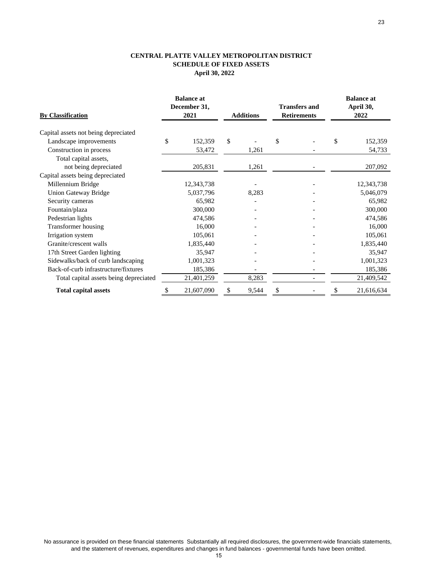#### **CENTRAL PLATTE VALLEY METROPOLITAN DISTRICT SCHEDULE OF FIXED ASSETS April 30, 2022**

| <b>By Classification</b>               |    | <b>Balance at</b><br>December 31,<br>2021 |    | <b>Additions</b> |    | <b>Transfers and</b><br><b>Retirements</b> |    | <b>Balance at</b><br>April 30,<br>2022 |  |
|----------------------------------------|----|-------------------------------------------|----|------------------|----|--------------------------------------------|----|----------------------------------------|--|
| Capital assets not being depreciated   |    |                                           |    |                  |    |                                            |    |                                        |  |
| Landscape improvements                 | \$ | 152,359                                   | \$ |                  | \$ |                                            | \$ | 152,359                                |  |
| Construction in process                |    | 53,472                                    |    | 1,261            |    |                                            |    | 54,733                                 |  |
| Total capital assets,                  |    |                                           |    |                  |    |                                            |    |                                        |  |
| not being depreciated                  |    | 205,831                                   |    | 1,261            |    |                                            |    | 207,092                                |  |
| Capital assets being depreciated       |    |                                           |    |                  |    |                                            |    |                                        |  |
| Millennium Bridge                      |    | 12,343,738                                |    |                  |    |                                            |    | 12,343,738                             |  |
| <b>Union Gateway Bridge</b>            |    | 5,037,796                                 |    | 8,283            |    |                                            |    | 5,046,079                              |  |
| Security cameras                       |    | 65,982                                    |    |                  |    |                                            |    | 65,982                                 |  |
| Fountain/plaza                         |    | 300,000                                   |    |                  |    |                                            |    | 300,000                                |  |
| Pedestrian lights                      |    | 474,586                                   |    |                  |    |                                            |    | 474,586                                |  |
| Transformer housing                    |    | 16,000                                    |    |                  |    |                                            |    | 16,000                                 |  |
| Irrigation system                      |    | 105,061                                   |    |                  |    |                                            |    | 105,061                                |  |
| Granite/crescent walls                 |    | 1,835,440                                 |    |                  |    |                                            |    | 1,835,440                              |  |
| 17th Street Garden lighting            |    | 35,947                                    |    |                  |    |                                            |    | 35,947                                 |  |
| Sidewalks/back of curb landscaping     |    | 1,001,323                                 |    |                  |    |                                            |    | 1,001,323                              |  |
| Back-of-curb infrastructure/fixtures   |    | 185,386                                   |    |                  |    |                                            |    | 185,386                                |  |
| Total capital assets being depreciated |    | 21,401,259                                |    | 8,283            |    |                                            |    | 21,409,542                             |  |
| <b>Total capital assets</b>            |    | 21,607,090                                | \$ | 9,544            |    |                                            |    | 21,616,634                             |  |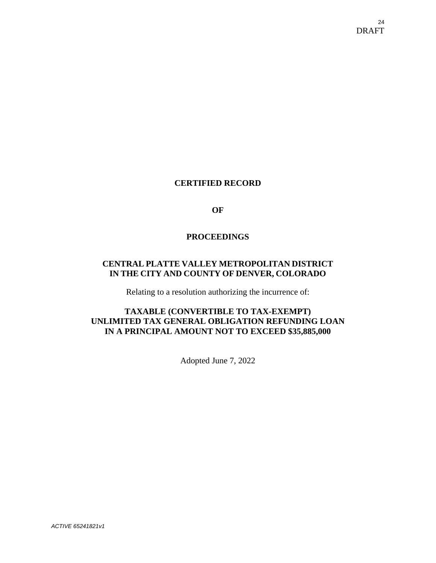# <span id="page-23-0"></span>**CERTIFIED RECORD**

**OF** 

## **PROCEEDINGS**

# **CENTRAL PLATTE VALLEY METROPOLITAN DISTRICT IN THE CITY AND COUNTY OF DENVER, COLORADO**

Relating to a resolution authorizing the incurrence of:

# **TAXABLE (CONVERTIBLE TO TAX-EXEMPT) UNLIMITED TAX GENERAL OBLIGATION REFUNDING LOAN IN A PRINCIPAL AMOUNT NOT TO EXCEED \$35,885,000**

Adopted June 7, 2022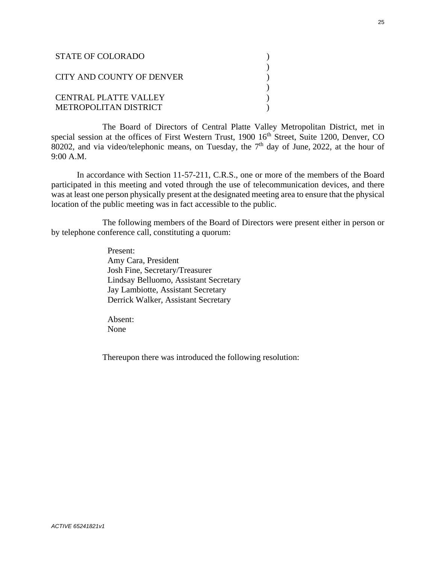| <b>STATE OF COLORADO</b>                       |  |
|------------------------------------------------|--|
| CITY AND COUNTY OF DENVER                      |  |
| CENTRAL PLATTE VALLEY<br>METROPOLITAN DISTRICT |  |

The Board of Directors of Central Platte Valley Metropolitan District, met in special session at the offices of First Western Trust, 1900 16<sup>th</sup> Street, Suite 1200, Denver, CO 80202, and via video/telephonic means, on Tuesday, the  $7<sup>th</sup>$  day of June, 2022, at the hour of 9:00 A.M.

In accordance with Section 11-57-211, C.R.S., one or more of the members of the Board participated in this meeting and voted through the use of telecommunication devices, and there was at least one person physically present at the designated meeting area to ensure that the physical location of the public meeting was in fact accessible to the public.

The following members of the Board of Directors were present either in person or by telephone conference call, constituting a quorum:

> Present: Amy Cara, President Josh Fine, Secretary/Treasurer Lindsay Belluomo, Assistant Secretary Jay Lambiotte, Assistant Secretary Derrick Walker, Assistant Secretary

Absent: None

Thereupon there was introduced the following resolution: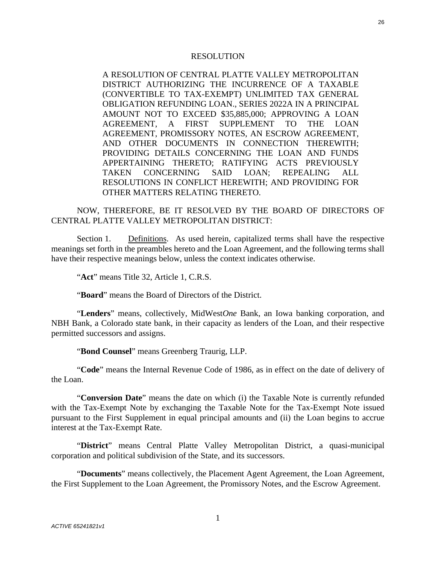#### RESOLUTION

A RESOLUTION OF CENTRAL PLATTE VALLEY METROPOLITAN DISTRICT AUTHORIZING THE INCURRENCE OF A TAXABLE (CONVERTIBLE TO TAX-EXEMPT) UNLIMITED TAX GENERAL OBLIGATION REFUNDING LOAN., SERIES 2022A IN A PRINCIPAL AMOUNT NOT TO EXCEED \$35,885,000; APPROVING A LOAN AGREEMENT, A FIRST SUPPLEMENT TO THE LOAN AGREEMENT, PROMISSORY NOTES, AN ESCROW AGREEMENT, AND OTHER DOCUMENTS IN CONNECTION THEREWITH; PROVIDING DETAILS CONCERNING THE LOAN AND FUNDS APPERTAINING THERETO; RATIFYING ACTS PREVIOUSLY TAKEN CONCERNING SAID LOAN; REPEALING ALL RESOLUTIONS IN CONFLICT HEREWITH; AND PROVIDING FOR OTHER MATTERS RELATING THERETO.

NOW, THEREFORE, BE IT RESOLVED BY THE BOARD OF DIRECTORS OF CENTRAL PLATTE VALLEY METROPOLITAN DISTRICT:

Section 1. Definitions. As used herein, capitalized terms shall have the respective meanings set forth in the preambles hereto and the Loan Agreement, and the following terms shall have their respective meanings below, unless the context indicates otherwise.

"**Act**" means Title 32, Article 1, C.R.S.

"**Board**" means the Board of Directors of the District.

"**Lenders**" means, collectively, MidWest*One* Bank, an Iowa banking corporation, and NBH Bank, a Colorado state bank, in their capacity as lenders of the Loan, and their respective permitted successors and assigns.

"**Bond Counsel**" means Greenberg Traurig, LLP.

"**Code**" means the Internal Revenue Code of 1986, as in effect on the date of delivery of the Loan.

"**Conversion Date**" means the date on which (i) the Taxable Note is currently refunded with the Tax-Exempt Note by exchanging the Taxable Note for the Tax-Exempt Note issued pursuant to the First Supplement in equal principal amounts and (ii) the Loan begins to accrue interest at the Tax-Exempt Rate.

"**District**" means Central Platte Valley Metropolitan District, a quasi-municipal corporation and political subdivision of the State, and its successors.

"**Documents**" means collectively, the Placement Agent Agreement, the Loan Agreement, the First Supplement to the Loan Agreement, the Promissory Notes, and the Escrow Agreement.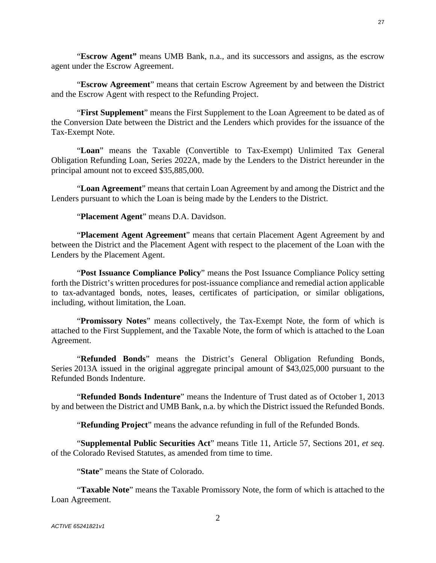"**Escrow Agreement**" means that certain Escrow Agreement by and between the District and the Escrow Agent with respect to the Refunding Project.

"**First Supplement**" means the First Supplement to the Loan Agreement to be dated as of the Conversion Date between the District and the Lenders which provides for the issuance of the Tax-Exempt Note.

"**Loan**" means the Taxable (Convertible to Tax-Exempt) Unlimited Tax General Obligation Refunding Loan, Series 2022A, made by the Lenders to the District hereunder in the principal amount not to exceed \$35,885,000.

"**Loan Agreement**" means that certain Loan Agreement by and among the District and the Lenders pursuant to which the Loan is being made by the Lenders to the District.

"**Placement Agent**" means D.A. Davidson.

agent under the Escrow Agreement.

"**Placement Agent Agreement**" means that certain Placement Agent Agreement by and between the District and the Placement Agent with respect to the placement of the Loan with the Lenders by the Placement Agent.

"**Post Issuance Compliance Policy**" means the Post Issuance Compliance Policy setting forth the District's written procedures for post-issuance compliance and remedial action applicable to tax-advantaged bonds, notes, leases, certificates of participation, or similar obligations, including, without limitation, the Loan.

"**Promissory Notes**" means collectively, the Tax-Exempt Note, the form of which is attached to the First Supplement, and the Taxable Note, the form of which is attached to the Loan Agreement.

"**Refunded Bonds**" means the District's General Obligation Refunding Bonds, Series 2013A issued in the original aggregate principal amount of \$43,025,000 pursuant to the Refunded Bonds Indenture.

"**Refunded Bonds Indenture**" means the Indenture of Trust dated as of October 1, 2013 by and between the District and UMB Bank, n.a. by which the District issued the Refunded Bonds.

"**Refunding Project**" means the advance refunding in full of the Refunded Bonds.

"**Supplemental Public Securities Act**" means Title 11, Article 57, Sections 201, *et seq*. of the Colorado Revised Statutes, as amended from time to time.

"**State**" means the State of Colorado.

"**Taxable Note**" means the Taxable Promissory Note, the form of which is attached to the Loan Agreement.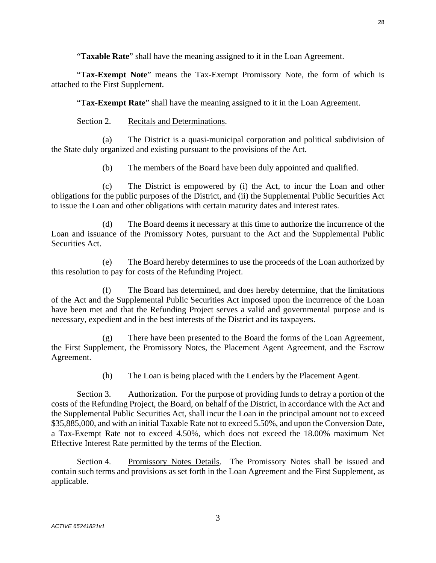"**Tax-Exempt Note**" means the Tax-Exempt Promissory Note, the form of which is attached to the First Supplement.

"**Tax-Exempt Rate**" shall have the meaning assigned to it in the Loan Agreement.

Section 2. Recitals and Determinations.

(a) The District is a quasi-municipal corporation and political subdivision of the State duly organized and existing pursuant to the provisions of the Act.

(b) The members of the Board have been duly appointed and qualified.

(c) The District is empowered by (i) the Act, to incur the Loan and other obligations for the public purposes of the District, and (ii) the Supplemental Public Securities Act to issue the Loan and other obligations with certain maturity dates and interest rates.

(d) The Board deems it necessary at this time to authorize the incurrence of the Loan and issuance of the Promissory Notes, pursuant to the Act and the Supplemental Public Securities Act.

(e) The Board hereby determines to use the proceeds of the Loan authorized by this resolution to pay for costs of the Refunding Project.

(f) The Board has determined, and does hereby determine, that the limitations of the Act and the Supplemental Public Securities Act imposed upon the incurrence of the Loan have been met and that the Refunding Project serves a valid and governmental purpose and is necessary, expedient and in the best interests of the District and its taxpayers.

(g) There have been presented to the Board the forms of the Loan Agreement, the First Supplement, the Promissory Notes, the Placement Agent Agreement, and the Escrow Agreement.

(h) The Loan is being placed with the Lenders by the Placement Agent.

Section 3. Authorization. For the purpose of providing funds to defray a portion of the costs of the Refunding Project, the Board, on behalf of the District, in accordance with the Act and the Supplemental Public Securities Act, shall incur the Loan in the principal amount not to exceed \$35,885,000, and with an initial Taxable Rate not to exceed 5.50%, and upon the Conversion Date, a Tax-Exempt Rate not to exceed 4.50%, which does not exceed the 18.00% maximum Net Effective Interest Rate permitted by the terms of the Election.

Section 4. Promissory Notes Details. The Promissory Notes shall be issued and contain such terms and provisions as set forth in the Loan Agreement and the First Supplement, as applicable.

28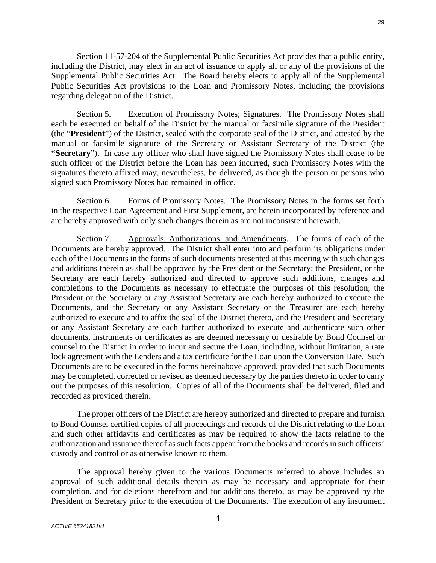Section 11-57-204 of the Supplemental Public Securities Act provides that a public entity, including the District, may elect in an act of issuance to apply all or any of the provisions of the Supplemental Public Securities Act. The Board hereby elects to apply all of the Supplemental Public Securities Act provisions to the Loan and Promissory Notes, including the provisions regarding delegation of the District.

Section 5. Execution of Promissory Notes; Signatures. The Promissory Notes shall each be executed on behalf of the District by the manual or facsimile signature of the President (the "**President**") of the District, sealed with the corporate seal of the District, and attested by the manual or facsimile signature of the Secretary or Assistant Secretary of the District (the **"Secretary**"). In case any officer who shall have signed the Promissory Notes shall cease to be such officer of the District before the Loan has been incurred, such Promissory Notes with the signatures thereto affixed may, nevertheless, be delivered, as though the person or persons who signed such Promissory Notes had remained in office.

Section 6. Forms of Promissory Notes. The Promissory Notes in the forms set forth in the respective Loan Agreement and First Supplement, are herein incorporated by reference and are hereby approved with only such changes therein as are not inconsistent herewith.

Section 7. Approvals, Authorizations, and Amendments. The forms of each of the Documents are hereby approved. The District shall enter into and perform its obligations under each of the Documents in the forms of such documents presented at this meeting with such changes and additions therein as shall be approved by the President or the Secretary; the President, or the Secretary are each hereby authorized and directed to approve such additions, changes and completions to the Documents as necessary to effectuate the purposes of this resolution; the President or the Secretary or any Assistant Secretary are each hereby authorized to execute the Documents, and the Secretary or any Assistant Secretary or the Treasurer are each hereby authorized to execute and to affix the seal of the District thereto, and the President and Secretary or any Assistant Secretary are each further authorized to execute and authenticate such other documents, instruments or certificates as are deemed necessary or desirable by Bond Counsel or counsel to the District in order to incur and secure the Loan, including, without limitation, a rate lock agreement with the Lenders and a tax certificate for the Loan upon the Conversion Date. Such Documents are to be executed in the forms hereinabove approved, provided that such Documents may be completed, corrected or revised as deemed necessary by the parties thereto in order to carry out the purposes of this resolution. Copies of all of the Documents shall be delivered, filed and recorded as provided therein.

The proper officers of the District are hereby authorized and directed to prepare and furnish to Bond Counsel certified copies of all proceedings and records of the District relating to the Loan and such other affidavits and certificates as may be required to show the facts relating to the authorization and issuance thereof as such facts appear from the books and records in such officers' custody and control or as otherwise known to them.

The approval hereby given to the various Documents referred to above includes an approval of such additional details therein as may be necessary and appropriate for their completion, and for deletions therefrom and for additions thereto, as may be approved by the President or Secretary prior to the execution of the Documents. The execution of any instrument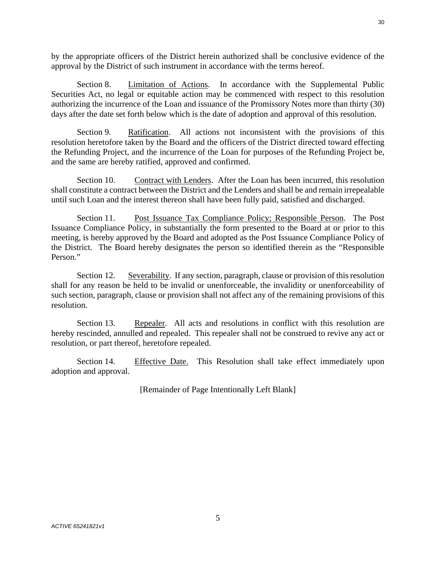by the appropriate officers of the District herein authorized shall be conclusive evidence of the approval by the District of such instrument in accordance with the terms hereof.

Section 8. Limitation of Actions. In accordance with the Supplemental Public Securities Act, no legal or equitable action may be commenced with respect to this resolution authorizing the incurrence of the Loan and issuance of the Promissory Notes more than thirty (30) days after the date set forth below which is the date of adoption and approval of this resolution.

Section 9. Ratification. All actions not inconsistent with the provisions of this resolution heretofore taken by the Board and the officers of the District directed toward effecting the Refunding Project, and the incurrence of the Loan for purposes of the Refunding Project be, and the same are hereby ratified, approved and confirmed.

Section 10. Contract with Lenders. After the Loan has been incurred, this resolution shall constitute a contract between the District and the Lenders and shall be and remain irrepealable until such Loan and the interest thereon shall have been fully paid, satisfied and discharged.

Section 11. Post Issuance Tax Compliance Policy; Responsible Person. The Post Issuance Compliance Policy, in substantially the form presented to the Board at or prior to this meeting, is hereby approved by the Board and adopted as the Post Issuance Compliance Policy of the District. The Board hereby designates the person so identified therein as the "Responsible Person."

Section 12. Severability. If any section, paragraph, clause or provision of this resolution shall for any reason be held to be invalid or unenforceable, the invalidity or unenforceability of such section, paragraph, clause or provision shall not affect any of the remaining provisions of this resolution.

Section 13. Repealer. All acts and resolutions in conflict with this resolution are hereby rescinded, annulled and repealed. This repealer shall not be construed to revive any act or resolution, or part thereof, heretofore repealed.

Section 14. Effective Date. This Resolution shall take effect immediately upon adoption and approval.

[Remainder of Page Intentionally Left Blank]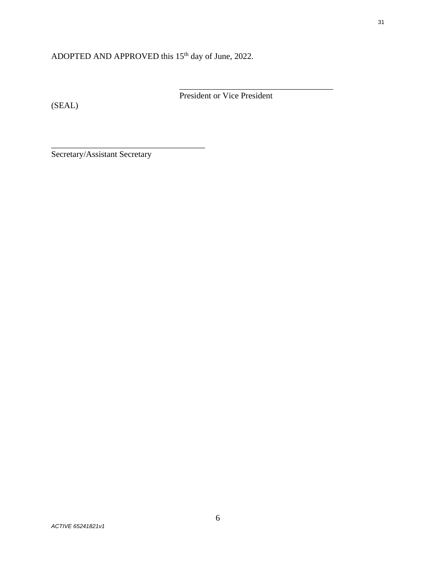# ADOPTED AND APPROVED this 15<sup>th</sup> day of June, 2022.

(SEAL)

President or Vice President

\_\_\_\_\_\_\_\_\_\_\_\_\_\_\_\_\_\_\_\_\_\_\_\_\_\_\_\_\_\_\_\_\_\_\_\_

Secretary/Assistant Secretary

\_\_\_\_\_\_\_\_\_\_\_\_\_\_\_\_\_\_\_\_\_\_\_\_\_\_\_\_\_\_\_\_\_\_\_\_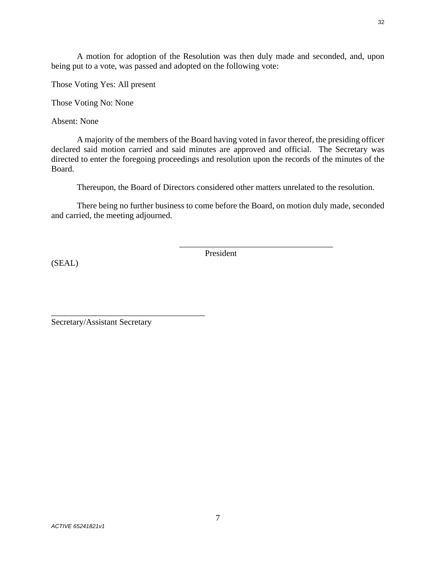A motion for adoption of the Resolution was then duly made and seconded, and, upon being put to a vote, was passed and adopted on the following vote:

Those Voting Yes: All present

Those Voting No: None

Absent: None

A majority of the members of the Board having voted in favor thereof, the presiding officer declared said motion carried and said minutes are approved and official. The Secretary was directed to enter the foregoing proceedings and resolution upon the records of the minutes of the Board.

Thereupon, the Board of Directors considered other matters unrelated to the resolution.

There being no further business to come before the Board, on motion duly made, seconded and carried, the meeting adjourned.

(SEAL)

President

\_\_\_\_\_\_\_\_\_\_\_\_\_\_\_\_\_\_\_\_\_\_\_\_\_\_\_\_\_\_\_\_\_\_\_\_

\_\_\_\_\_\_\_\_\_\_\_\_\_\_\_\_\_\_\_\_\_\_\_\_\_\_\_\_\_\_\_\_\_\_\_\_ Secretary/Assistant Secretary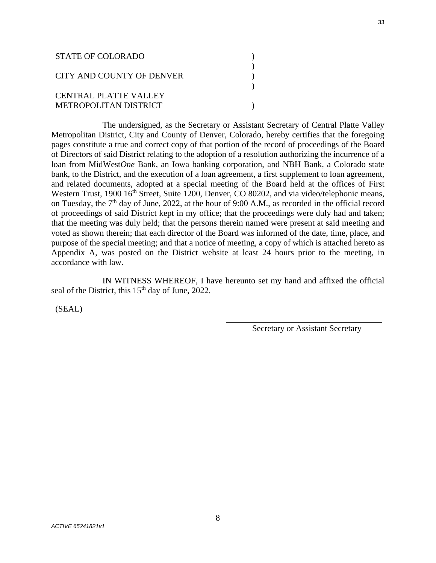| STATE OF COLORADO            |  |
|------------------------------|--|
| CITY AND COUNTY OF DENVER    |  |
| <b>CENTRAL PLATTE VALLEY</b> |  |
| METROPOLITAN DISTRICT        |  |

The undersigned, as the Secretary or Assistant Secretary of Central Platte Valley Metropolitan District, City and County of Denver, Colorado, hereby certifies that the foregoing pages constitute a true and correct copy of that portion of the record of proceedings of the Board of Directors of said District relating to the adoption of a resolution authorizing the incurrence of a loan from MidWest*One* Bank, an Iowa banking corporation, and NBH Bank, a Colorado state bank, to the District, and the execution of a loan agreement, a first supplement to loan agreement, and related documents, adopted at a special meeting of the Board held at the offices of First Western Trust, 1900 16<sup>th</sup> Street, Suite 1200, Denver, CO 80202, and via video/telephonic means, on Tuesday, the 7<sup>th</sup> day of June, 2022, at the hour of 9:00 A.M., as recorded in the official record of proceedings of said District kept in my office; that the proceedings were duly had and taken; that the meeting was duly held; that the persons therein named were present at said meeting and voted as shown therein; that each director of the Board was informed of the date, time, place, and purpose of the special meeting; and that a notice of meeting, a copy of which is attached hereto as Appendix A, was posted on the District website at least 24 hours prior to the meeting, in accordance with law.

IN WITNESS WHEREOF, I have hereunto set my hand and affixed the official seal of the District, this 15<sup>th</sup> day of June, 2022.

 $\overline{a}$ 

(SEAL)

Secretary or Assistant Secretary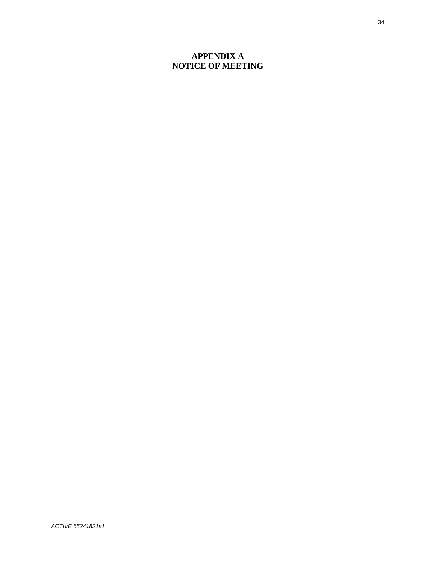# **APPENDIX A NOTICE OF MEETING**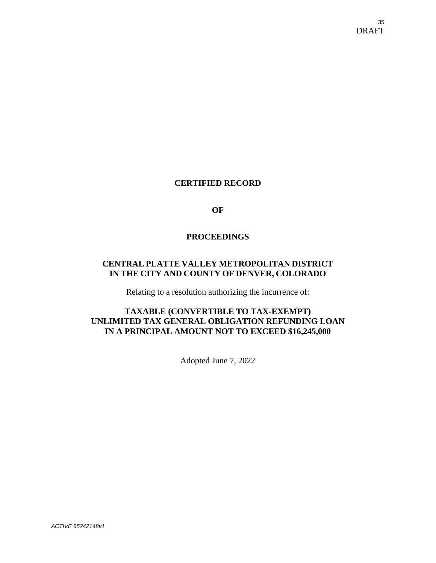# **CERTIFIED RECORD**

**OF** 

## **PROCEEDINGS**

# **CENTRAL PLATTE VALLEY METROPOLITAN DISTRICT IN THE CITY AND COUNTY OF DENVER, COLORADO**

Relating to a resolution authorizing the incurrence of:

# **TAXABLE (CONVERTIBLE TO TAX-EXEMPT) UNLIMITED TAX GENERAL OBLIGATION REFUNDING LOAN IN A PRINCIPAL AMOUNT NOT TO EXCEED \$16,245,000**

Adopted June 7, 2022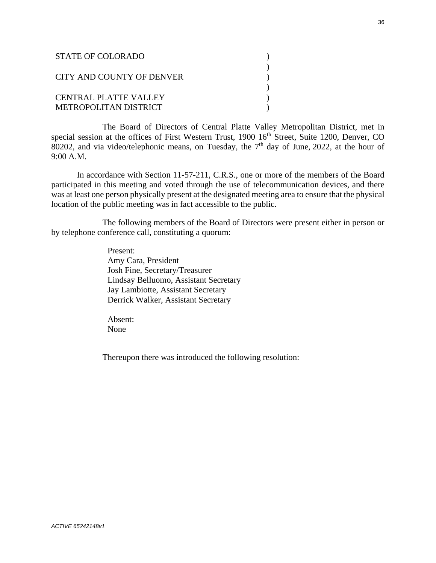| <b>STATE OF COLORADO</b>                       |  |
|------------------------------------------------|--|
| CITY AND COUNTY OF DENVER                      |  |
| CENTRAL PLATTE VALLEY<br>METROPOLITAN DISTRICT |  |

The Board of Directors of Central Platte Valley Metropolitan District, met in special session at the offices of First Western Trust, 1900 16<sup>th</sup> Street, Suite 1200, Denver, CO 80202, and via video/telephonic means, on Tuesday, the  $7<sup>th</sup>$  day of June, 2022, at the hour of 9:00 A.M.

In accordance with Section 11-57-211, C.R.S., one or more of the members of the Board participated in this meeting and voted through the use of telecommunication devices, and there was at least one person physically present at the designated meeting area to ensure that the physical location of the public meeting was in fact accessible to the public.

The following members of the Board of Directors were present either in person or by telephone conference call, constituting a quorum:

> Present: Amy Cara, President Josh Fine, Secretary/Treasurer Lindsay Belluomo, Assistant Secretary Jay Lambiotte, Assistant Secretary Derrick Walker, Assistant Secretary

Absent: None

Thereupon there was introduced the following resolution: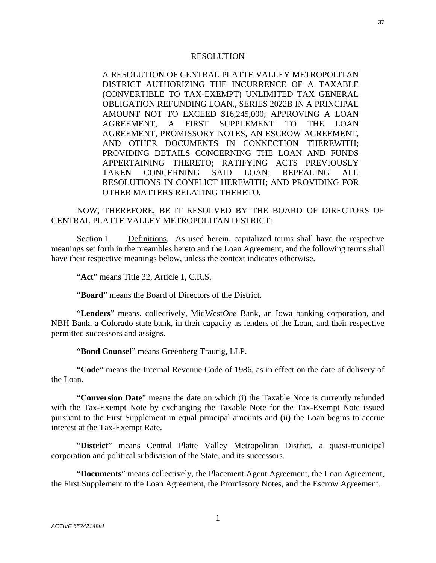#### RESOLUTION

A RESOLUTION OF CENTRAL PLATTE VALLEY METROPOLITAN DISTRICT AUTHORIZING THE INCURRENCE OF A TAXABLE (CONVERTIBLE TO TAX-EXEMPT) UNLIMITED TAX GENERAL OBLIGATION REFUNDING LOAN., SERIES 2022B IN A PRINCIPAL AMOUNT NOT TO EXCEED \$16,245,000; APPROVING A LOAN AGREEMENT, A FIRST SUPPLEMENT TO THE LOAN AGREEMENT, PROMISSORY NOTES, AN ESCROW AGREEMENT, AND OTHER DOCUMENTS IN CONNECTION THEREWITH; PROVIDING DETAILS CONCERNING THE LOAN AND FUNDS APPERTAINING THERETO; RATIFYING ACTS PREVIOUSLY TAKEN CONCERNING SAID LOAN; REPEALING ALL RESOLUTIONS IN CONFLICT HEREWITH; AND PROVIDING FOR OTHER MATTERS RELATING THERETO.

NOW, THEREFORE, BE IT RESOLVED BY THE BOARD OF DIRECTORS OF CENTRAL PLATTE VALLEY METROPOLITAN DISTRICT:

Section 1. Definitions. As used herein, capitalized terms shall have the respective meanings set forth in the preambles hereto and the Loan Agreement, and the following terms shall have their respective meanings below, unless the context indicates otherwise.

"**Act**" means Title 32, Article 1, C.R.S.

"**Board**" means the Board of Directors of the District.

"**Lenders**" means, collectively, MidWest*One* Bank, an Iowa banking corporation, and NBH Bank, a Colorado state bank, in their capacity as lenders of the Loan, and their respective permitted successors and assigns.

"**Bond Counsel**" means Greenberg Traurig, LLP.

"**Code**" means the Internal Revenue Code of 1986, as in effect on the date of delivery of the Loan.

"**Conversion Date**" means the date on which (i) the Taxable Note is currently refunded with the Tax-Exempt Note by exchanging the Taxable Note for the Tax-Exempt Note issued pursuant to the First Supplement in equal principal amounts and (ii) the Loan begins to accrue interest at the Tax-Exempt Rate.

"**District**" means Central Platte Valley Metropolitan District, a quasi-municipal corporation and political subdivision of the State, and its successors.

"**Documents**" means collectively, the Placement Agent Agreement, the Loan Agreement, the First Supplement to the Loan Agreement, the Promissory Notes, and the Escrow Agreement.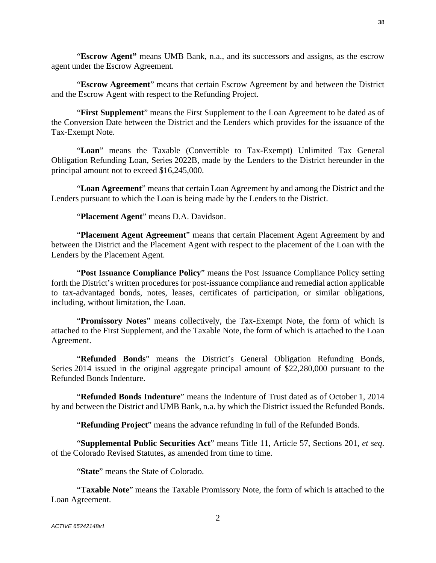38

"**Escrow Agent"** means UMB Bank, n.a., and its successors and assigns, as the escrow agent under the Escrow Agreement.

"**Escrow Agreement**" means that certain Escrow Agreement by and between the District and the Escrow Agent with respect to the Refunding Project.

"**First Supplement**" means the First Supplement to the Loan Agreement to be dated as of the Conversion Date between the District and the Lenders which provides for the issuance of the Tax-Exempt Note.

"**Loan**" means the Taxable (Convertible to Tax-Exempt) Unlimited Tax General Obligation Refunding Loan, Series 2022B, made by the Lenders to the District hereunder in the principal amount not to exceed \$16,245,000.

"**Loan Agreement**" means that certain Loan Agreement by and among the District and the Lenders pursuant to which the Loan is being made by the Lenders to the District.

"**Placement Agent**" means D.A. Davidson.

"**Placement Agent Agreement**" means that certain Placement Agent Agreement by and between the District and the Placement Agent with respect to the placement of the Loan with the Lenders by the Placement Agent.

"**Post Issuance Compliance Policy**" means the Post Issuance Compliance Policy setting forth the District's written procedures for post-issuance compliance and remedial action applicable to tax-advantaged bonds, notes, leases, certificates of participation, or similar obligations, including, without limitation, the Loan.

"**Promissory Notes**" means collectively, the Tax-Exempt Note, the form of which is attached to the First Supplement, and the Taxable Note, the form of which is attached to the Loan Agreement.

"**Refunded Bonds**" means the District's General Obligation Refunding Bonds, Series 2014 issued in the original aggregate principal amount of \$22,280,000 pursuant to the Refunded Bonds Indenture.

"**Refunded Bonds Indenture**" means the Indenture of Trust dated as of October 1, 2014 by and between the District and UMB Bank, n.a. by which the District issued the Refunded Bonds.

"**Refunding Project**" means the advance refunding in full of the Refunded Bonds.

"**Supplemental Public Securities Act**" means Title 11, Article 57, Sections 201, *et seq*. of the Colorado Revised Statutes, as amended from time to time.

"**State**" means the State of Colorado.

"**Taxable Note**" means the Taxable Promissory Note, the form of which is attached to the Loan Agreement.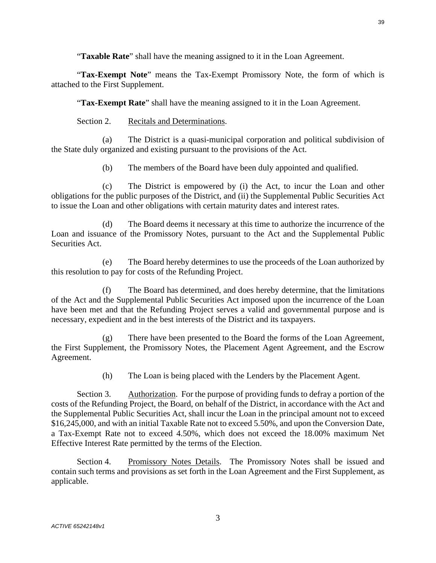"**Tax-Exempt Note**" means the Tax-Exempt Promissory Note, the form of which is attached to the First Supplement.

"**Tax-Exempt Rate**" shall have the meaning assigned to it in the Loan Agreement.

Section 2. Recitals and Determinations.

(a) The District is a quasi-municipal corporation and political subdivision of the State duly organized and existing pursuant to the provisions of the Act.

(b) The members of the Board have been duly appointed and qualified.

(c) The District is empowered by (i) the Act, to incur the Loan and other obligations for the public purposes of the District, and (ii) the Supplemental Public Securities Act to issue the Loan and other obligations with certain maturity dates and interest rates.

(d) The Board deems it necessary at this time to authorize the incurrence of the Loan and issuance of the Promissory Notes, pursuant to the Act and the Supplemental Public Securities Act.

(e) The Board hereby determines to use the proceeds of the Loan authorized by this resolution to pay for costs of the Refunding Project.

(f) The Board has determined, and does hereby determine, that the limitations of the Act and the Supplemental Public Securities Act imposed upon the incurrence of the Loan have been met and that the Refunding Project serves a valid and governmental purpose and is necessary, expedient and in the best interests of the District and its taxpayers.

(g) There have been presented to the Board the forms of the Loan Agreement, the First Supplement, the Promissory Notes, the Placement Agent Agreement, and the Escrow Agreement.

(h) The Loan is being placed with the Lenders by the Placement Agent.

Section 3. Authorization. For the purpose of providing funds to defray a portion of the costs of the Refunding Project, the Board, on behalf of the District, in accordance with the Act and the Supplemental Public Securities Act, shall incur the Loan in the principal amount not to exceed \$16,245,000, and with an initial Taxable Rate not to exceed 5.50%, and upon the Conversion Date, a Tax-Exempt Rate not to exceed 4.50%, which does not exceed the 18.00% maximum Net Effective Interest Rate permitted by the terms of the Election.

Section 4. Promissory Notes Details. The Promissory Notes shall be issued and contain such terms and provisions as set forth in the Loan Agreement and the First Supplement, as applicable.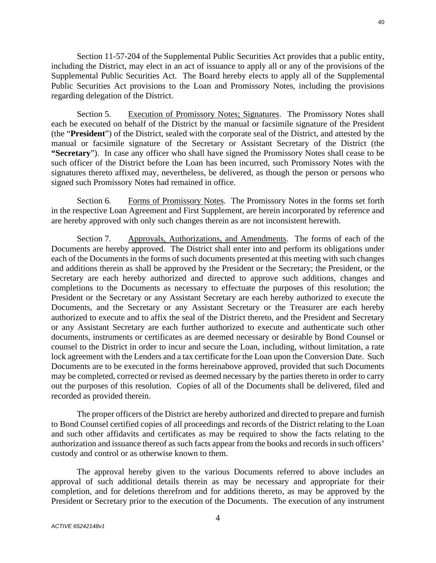Section 11-57-204 of the Supplemental Public Securities Act provides that a public entity, including the District, may elect in an act of issuance to apply all or any of the provisions of the Supplemental Public Securities Act. The Board hereby elects to apply all of the Supplemental Public Securities Act provisions to the Loan and Promissory Notes, including the provisions regarding delegation of the District.

Section 5. Execution of Promissory Notes; Signatures. The Promissory Notes shall each be executed on behalf of the District by the manual or facsimile signature of the President (the "**President**") of the District, sealed with the corporate seal of the District, and attested by the manual or facsimile signature of the Secretary or Assistant Secretary of the District (the **"Secretary**"). In case any officer who shall have signed the Promissory Notes shall cease to be such officer of the District before the Loan has been incurred, such Promissory Notes with the signatures thereto affixed may, nevertheless, be delivered, as though the person or persons who signed such Promissory Notes had remained in office.

Section 6. Forms of Promissory Notes. The Promissory Notes in the forms set forth in the respective Loan Agreement and First Supplement, are herein incorporated by reference and are hereby approved with only such changes therein as are not inconsistent herewith.

Section 7. Approvals, Authorizations, and Amendments. The forms of each of the Documents are hereby approved. The District shall enter into and perform its obligations under each of the Documents in the forms of such documents presented at this meeting with such changes and additions therein as shall be approved by the President or the Secretary; the President, or the Secretary are each hereby authorized and directed to approve such additions, changes and completions to the Documents as necessary to effectuate the purposes of this resolution; the President or the Secretary or any Assistant Secretary are each hereby authorized to execute the Documents, and the Secretary or any Assistant Secretary or the Treasurer are each hereby authorized to execute and to affix the seal of the District thereto, and the President and Secretary or any Assistant Secretary are each further authorized to execute and authenticate such other documents, instruments or certificates as are deemed necessary or desirable by Bond Counsel or counsel to the District in order to incur and secure the Loan, including, without limitation, a rate lock agreement with the Lenders and a tax certificate for the Loan upon the Conversion Date. Such Documents are to be executed in the forms hereinabove approved, provided that such Documents may be completed, corrected or revised as deemed necessary by the parties thereto in order to carry out the purposes of this resolution. Copies of all of the Documents shall be delivered, filed and recorded as provided therein.

The proper officers of the District are hereby authorized and directed to prepare and furnish to Bond Counsel certified copies of all proceedings and records of the District relating to the Loan and such other affidavits and certificates as may be required to show the facts relating to the authorization and issuance thereof as such facts appear from the books and records in such officers' custody and control or as otherwise known to them.

The approval hereby given to the various Documents referred to above includes an approval of such additional details therein as may be necessary and appropriate for their completion, and for deletions therefrom and for additions thereto, as may be approved by the President or Secretary prior to the execution of the Documents. The execution of any instrument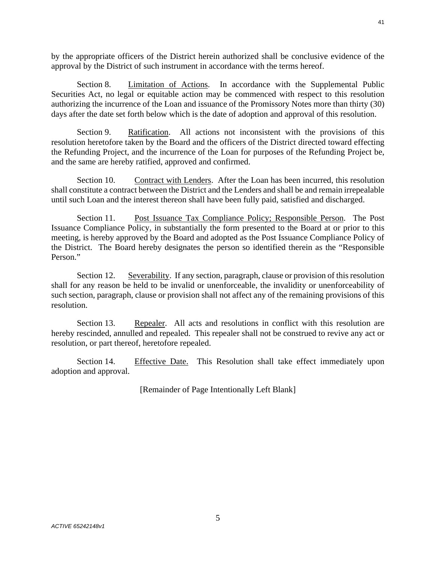by the appropriate officers of the District herein authorized shall be conclusive evidence of the approval by the District of such instrument in accordance with the terms hereof.

Section 8. Limitation of Actions. In accordance with the Supplemental Public Securities Act, no legal or equitable action may be commenced with respect to this resolution authorizing the incurrence of the Loan and issuance of the Promissory Notes more than thirty (30) days after the date set forth below which is the date of adoption and approval of this resolution.

Section 9. Ratification. All actions not inconsistent with the provisions of this resolution heretofore taken by the Board and the officers of the District directed toward effecting the Refunding Project, and the incurrence of the Loan for purposes of the Refunding Project be, and the same are hereby ratified, approved and confirmed.

Section 10. Contract with Lenders. After the Loan has been incurred, this resolution shall constitute a contract between the District and the Lenders and shall be and remain irrepealable until such Loan and the interest thereon shall have been fully paid, satisfied and discharged.

Section 11. Post Issuance Tax Compliance Policy; Responsible Person. The Post Issuance Compliance Policy, in substantially the form presented to the Board at or prior to this meeting, is hereby approved by the Board and adopted as the Post Issuance Compliance Policy of the District. The Board hereby designates the person so identified therein as the "Responsible Person."

Section 12. Severability. If any section, paragraph, clause or provision of this resolution shall for any reason be held to be invalid or unenforceable, the invalidity or unenforceability of such section, paragraph, clause or provision shall not affect any of the remaining provisions of this resolution.

Section 13. Repealer. All acts and resolutions in conflict with this resolution are hereby rescinded, annulled and repealed. This repealer shall not be construed to revive any act or resolution, or part thereof, heretofore repealed.

Section 14. Effective Date. This Resolution shall take effect immediately upon adoption and approval.

[Remainder of Page Intentionally Left Blank]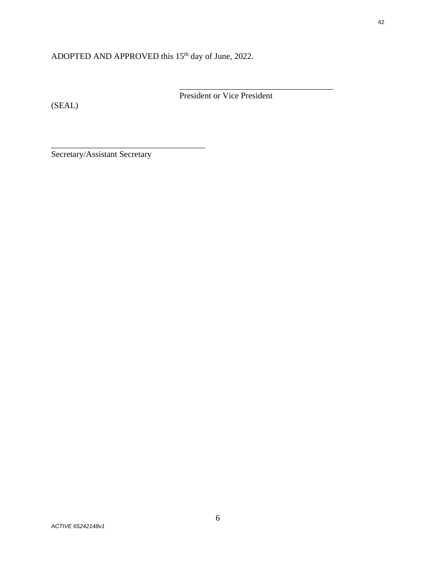# ADOPTED AND APPROVED this 15<sup>th</sup> day of June, 2022.

(SEAL)

President or Vice President

\_\_\_\_\_\_\_\_\_\_\_\_\_\_\_\_\_\_\_\_\_\_\_\_\_\_\_\_\_\_\_\_\_\_\_\_

Secretary/Assistant Secretary

\_\_\_\_\_\_\_\_\_\_\_\_\_\_\_\_\_\_\_\_\_\_\_\_\_\_\_\_\_\_\_\_\_\_\_\_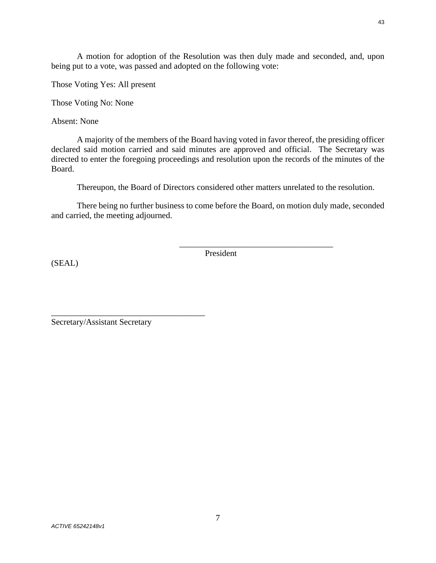A motion for adoption of the Resolution was then duly made and seconded, and, upon being put to a vote, was passed and adopted on the following vote:

Those Voting Yes: All present

Those Voting No: None

Absent: None

A majority of the members of the Board having voted in favor thereof, the presiding officer declared said motion carried and said minutes are approved and official. The Secretary was directed to enter the foregoing proceedings and resolution upon the records of the minutes of the Board.

Thereupon, the Board of Directors considered other matters unrelated to the resolution.

There being no further business to come before the Board, on motion duly made, seconded and carried, the meeting adjourned.

(SEAL)

President

\_\_\_\_\_\_\_\_\_\_\_\_\_\_\_\_\_\_\_\_\_\_\_\_\_\_\_\_\_\_\_\_\_\_\_\_

Secretary/Assistant Secretary

\_\_\_\_\_\_\_\_\_\_\_\_\_\_\_\_\_\_\_\_\_\_\_\_\_\_\_\_\_\_\_\_\_\_\_\_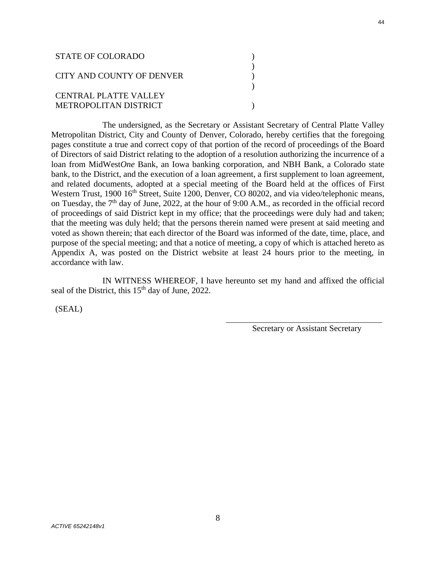| STATE OF COLORADO            |  |
|------------------------------|--|
| CITY AND COUNTY OF DENVER    |  |
| <b>CENTRAL PLATTE VALLEY</b> |  |
| METROPOLITAN DISTRICT        |  |

The undersigned, as the Secretary or Assistant Secretary of Central Platte Valley Metropolitan District, City and County of Denver, Colorado, hereby certifies that the foregoing pages constitute a true and correct copy of that portion of the record of proceedings of the Board of Directors of said District relating to the adoption of a resolution authorizing the incurrence of a loan from MidWest*One* Bank, an Iowa banking corporation, and NBH Bank, a Colorado state bank, to the District, and the execution of a loan agreement, a first supplement to loan agreement, and related documents, adopted at a special meeting of the Board held at the offices of First Western Trust, 1900 16<sup>th</sup> Street, Suite 1200, Denver, CO 80202, and via video/telephonic means, on Tuesday, the 7<sup>th</sup> day of June, 2022, at the hour of 9:00 A.M., as recorded in the official record of proceedings of said District kept in my office; that the proceedings were duly had and taken; that the meeting was duly held; that the persons therein named were present at said meeting and voted as shown therein; that each director of the Board was informed of the date, time, place, and purpose of the special meeting; and that a notice of meeting, a copy of which is attached hereto as Appendix A, was posted on the District website at least 24 hours prior to the meeting, in accordance with law.

IN WITNESS WHEREOF, I have hereunto set my hand and affixed the official seal of the District, this 15<sup>th</sup> day of June, 2022.

 $\overline{a}$ 

(SEAL)

Secretary or Assistant Secretary